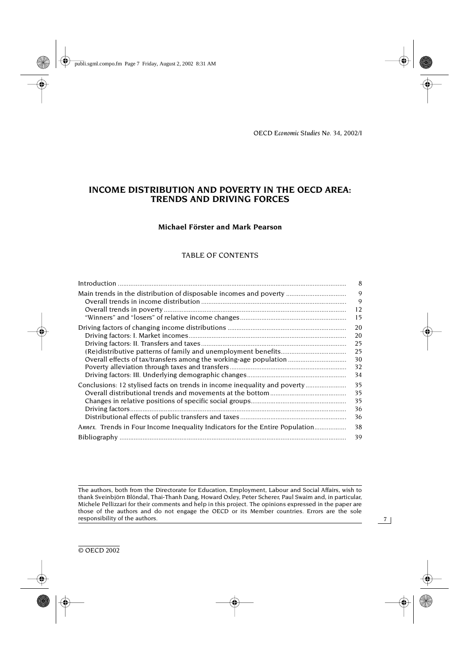# **INCOME DISTRIBUTION AND POVERTY IN THE OECD AREA: TRENDS AND DRIVING FORCES**

## **Michael Förster and Mark Pearson**

## TABLE OF CONTENTS

|                                                                              | 8  |
|------------------------------------------------------------------------------|----|
| Main trends in the distribution of disposable incomes and poverty            | 9  |
|                                                                              | 9  |
|                                                                              | 12 |
|                                                                              | 15 |
|                                                                              | 20 |
|                                                                              | 20 |
|                                                                              | 25 |
|                                                                              | 25 |
| Overall effects of tax/transfers among the working-age population            | 30 |
|                                                                              | 32 |
|                                                                              | 34 |
| Conclusions: 12 stylised facts on trends in income inequality and poverty    | 35 |
|                                                                              | 35 |
|                                                                              | 35 |
|                                                                              | 36 |
|                                                                              | 36 |
| Annex. Trends in Four Income Inequality Indicators for the Entire Population | 38 |
|                                                                              | 39 |

The authors, both from the Directorate for Education, Employment, Labour and Social Affairs, wish to thank Sveinbjörn Blöndal, Thai-Thanh Dang, Howard Oxley, Peter Scherer, Paul Swaim and, in particular, Michele Pellizzari for their comments and help in this project. The opinions expressed in the paper are those of the authors and do not engage the OECD or its Member countries. Errors are the sole responsibility of the authors.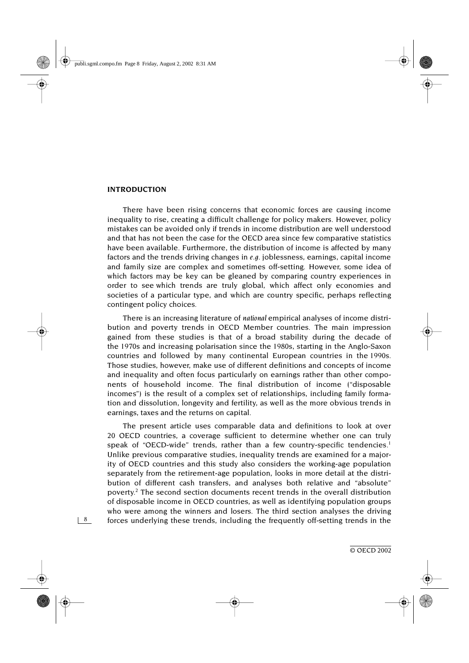### **INTRODUCTION**

There have been rising concerns that economic forces are causing income inequality to rise, creating a difficult challenge for policy makers. However, policy mistakes can be avoided only if trends in income distribution are well understood and that has not been the case for the OECD area since few comparative statistics have been available. Furthermore, the distribution of income is affected by many factors and the trends driving changes in *e.g.* joblessness, earnings, capital income and family size are complex and sometimes off-setting. However, some idea of which factors may be key can be gleaned by comparing country experiences in order to see which trends are truly global, which affect only economies and societies of a particular type, and which are country specific, perhaps reflecting contingent policy choices.

There is an increasing literature of *national* empirical analyses of income distribution and poverty trends in OECD Member countries. The main impression gained from these studies is that of a broad stability during the decade of the 1970s and increasing polarisation since the 1980s, starting in the Anglo-Saxon countries and followed by many continental European countries in the 1990s. Those studies, however, make use of different definitions and concepts of income and inequality and often focus particularly on earnings rather than other components of household income. The final distribution of income ("disposable incomes") is the result of a complex set of relationships, including family formation and dissolution, longevity and fertility, as well as the more obvious trends in earnings, taxes and the returns on capital.

The present article uses comparable data and definitions to look at over 20 OECD countries, a coverage sufficient to determine whether one can truly speak of "OECD-wide" trends, rather than a few country-specific tendencies.<sup>1</sup> Unlike previous comparative studies, inequality trends are examined for a majority of OECD countries and this study also considers the working-age population separately from the retirement-age population, looks in more detail at the distribution of different cash transfers, and analyses both relative and "absolute" poverty.<sup>2</sup> The second section documents recent trends in the overall distribution of disposable income in OECD countries, as well as identifying population groups who were among the winners and losers. The third section analyses the driving forces underlying these trends, including the frequently off-setting trends in the

8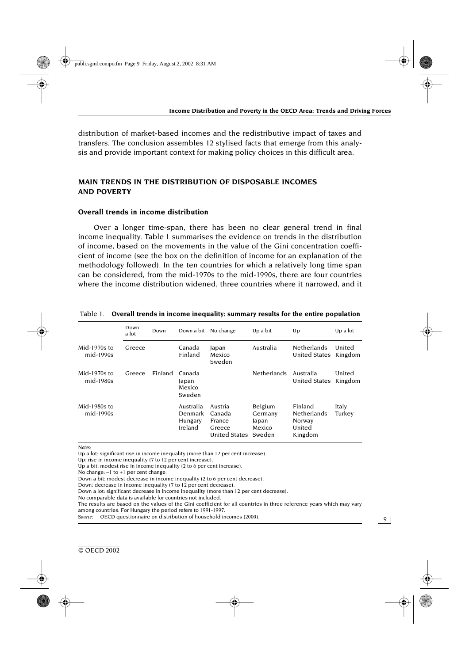distribution of market-based incomes and the redistributive impact of taxes and transfers. The conclusion assembles 12 stylised facts that emerge from this analysis and provide important context for making policy choices in this difficult area.

## **MAIN TRENDS IN THE DISTRIBUTION OF DISPOSABLE INCOMES AND POVERTY**

### **Overall trends in income distribution**

Over a longer time-span, there has been no clear general trend in final income inequality. Table 1 summarises the evidence on trends in the distribution of income, based on the movements in the value of the Gini concentration coefficient of income (see the box on the definition of income for an explanation of the methodology followed). In the ten countries for which a relatively long time span can be considered, from the mid-1970s to the mid-1990s, there are four countries where the income distribution widened, three countries where it narrowed, and it

|                             | Down<br>a lot | Down    | Down a bit No change                       |                                                               | Up a bit                                        | Up                                                           | Up a lot          |
|-----------------------------|---------------|---------|--------------------------------------------|---------------------------------------------------------------|-------------------------------------------------|--------------------------------------------------------------|-------------------|
| Mid-1970s to<br>$mid-1990s$ | Greece        |         | Canada<br>Finland                          | Japan<br>Mexico<br>Sweden                                     | Australia                                       | Netherlands<br><b>United States</b>                          | United<br>Kingdom |
| Mid-1970s to<br>mid-1980s   | Greece        | Finland | Canada<br>Japan<br>Mexico<br>Sweden        |                                                               | <b>Netherlands</b>                              | Australia<br><b>United States</b>                            | United<br>Kingdom |
| Mid-1980s to<br>mid-1990s   |               |         | Australia<br>Denmark<br>Hungary<br>Ireland | Austria<br>Canada<br>France<br>Greece<br><b>United States</b> | Belgium<br>Germany<br>Japan<br>Mexico<br>Sweden | Finland<br><b>Netherlands</b><br>Norway<br>United<br>Kingdom | Italy<br>Turkey   |

#### Table 1. **Overall trends in income inequality: summary results for the entire population**

*Notes:*

Up a lot: significant rise in income inequality (more than 12 per cent increase).

Up: rise in income inequality (7 to 12 per cent increase).

Up a bit: modest rise in income inequality (2 to 6 per cent increase).

No change: –1 to +1 per cent change.

Down a bit: modest decrease in income inequality (2 to 6 per cent decrease).

Down: decrease in income inequality (7 to 12 per cent decrease).

Down a lot: significant decrease in income inequality (more than 12 per cent decrease).

No comparable data is available for countries not included.

The results are based on the values of the Gini coefficient for all countries in three reference years which may vary among countries. For Hungary the period refers to 1991-1997.

*Source:* OECD questionnaire on distribution of household incomes (2000).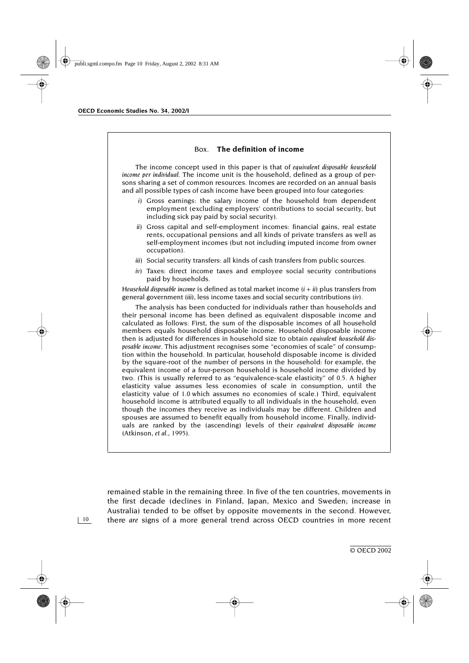## Box. **The definition of income**

The income concept used in this paper is that of *equivalent disposable household income per individual.* The income unit is the household, defined as a group of persons sharing a set of common resources. Incomes are recorded on an annual basis and all possible types of cash income have been grouped into four categories:

- *i)* Gross earnings: the salary income of the household from dependent employment (excluding employers' contributions to social security, but including sick pay paid by social security).
- *ii)* Gross capital and self-employment incomes: financial gains, real estate rents, occupational pensions and all kinds of private transfers as well as self-employment incomes (but not including imputed income from owner occupation).
- *iii)* Social security transfers: all kinds of cash transfers from public sources.
- *iv)* Taxes: direct income taxes and employee social security contributions paid by households.

*Household disposable income* is defined as total market income (*i* + *ii*) plus transfers from general government (*iii*), less income taxes and social security contributions (*iv*).

The analysis has been conducted for individuals rather than households and their personal income has been defined as equivalent disposable income and calculated as follows: First, the sum of the disposable incomes of all household members equals household disposable income. Household disposable income then is adjusted for differences in household size to obtain *equivalent household disposable income*. This adjustment recognises some "economies of scale" of consumption within the household. In particular, household disposable income is divided by the square-root of the number of persons in the household: for example, the equivalent income of a four-person household is household income divided by two. (This is usually referred to as "equivalence-scale elasticity" of 0.5. A higher elasticity value assumes less economies of scale in consumption, until the elasticity value of 1.0 which assumes no economies of scale.) Third, equivalent household income is attributed equally to all individuals in the household, even though the incomes they receive as individuals may be different. Children and spouses are assumed to benefit equally from household income. Finally, individuals are ranked by the (ascending) levels of their *equivalent disposable income* (Atkinson, *et al.*, 1995).

remained stable in the remaining three. In five of the ten countries, movements in the first decade (declines in Finland, Japan, Mexico and Sweden; increase in Australia) tended to be offset by opposite movements in the second. However, there *are* signs of a more general trend across OECD countries in more recent

© OECD 2002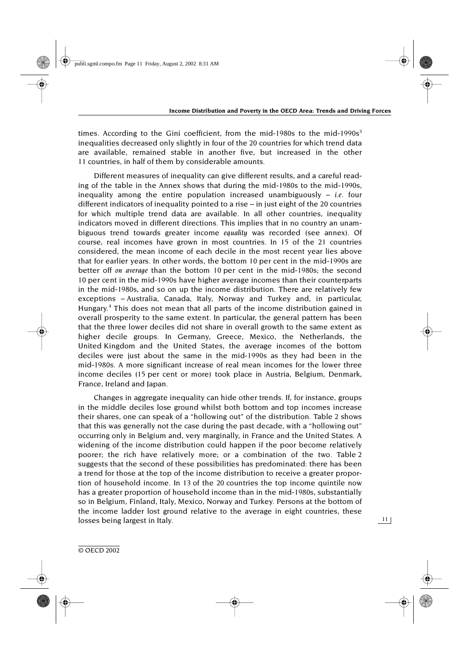times. According to the Gini coefficient, from the mid-1980s to the mid-1990s<sup>3</sup> inequalities decreased only slightly in four of the 20 countries for which trend data are available, remained stable in another five, but increased in the other 11 countries, in half of them by considerable amounts.

Different measures of inequality can give different results, and a careful reading of the table in the Annex shows that during the mid-1980s to the mid-1990s, inequality among the entire population increased unambiguously – *i.e.* four different indicators of inequality pointed to a rise – in just eight of the 20 countries for which multiple trend data are available. In all other countries, inequality indicators moved in different directions. This implies that in no country an unambiguous trend towards greater income *equality* was recorded (see annex). Of course, real incomes have grown in most countries. In 15 of the 21 countries considered, the mean income of each decile in the most recent year lies above that for earlier years. In other words, the bottom 10 per cent in the mid-1990s are better off *on average* than the bottom 10 per cent in the mid-1980s; the second 10 per cent in the mid-1990s have higher average incomes than their counterparts in the mid-1980s, and so on up the income distribution. There are relatively few exceptions – Australia, Canada, Italy, Norway and Turkey and, in particular, Hungary.4 This does not mean that all parts of the income distribution gained in overall prosperity to the same extent. In particular, the general pattern has been that the three lower deciles did not share in overall growth to the same extent as higher decile groups. In Germany, Greece, Mexico, the Netherlands, the United Kingdom and the United States, the average incomes of the bottom deciles were just about the same in the mid-1990s as they had been in the mid-1980s. A more significant increase of real mean incomes for the lower three income deciles (15 per cent or more) took place in Austria, Belgium, Denmark, France, Ireland and Japan.

Changes in aggregate inequality can hide other trends. If, for instance, groups in the middle deciles lose ground whilst both bottom and top incomes increase their shares, one can speak of a "hollowing out" of the distribution. Table 2 shows that this was generally not the case during the past decade, with a "hollowing out" occurring only in Belgium and, very marginally, in France and the United States. A widening of the income distribution could happen if the poor become relatively poorer; the rich have relatively more; or a combination of the two. Table 2 suggests that the second of these possibilities has predominated: there has been a trend for those at the top of the income distribution to receive a greater proportion of household income. In 13 of the 20 countries the top income quintile now has a greater proportion of household income than in the mid-1980s, substantially so in Belgium, Finland, Italy, Mexico, Norway and Turkey. Persons at the bottom of the income ladder lost ground relative to the average in eight countries, these losses being largest in Italy.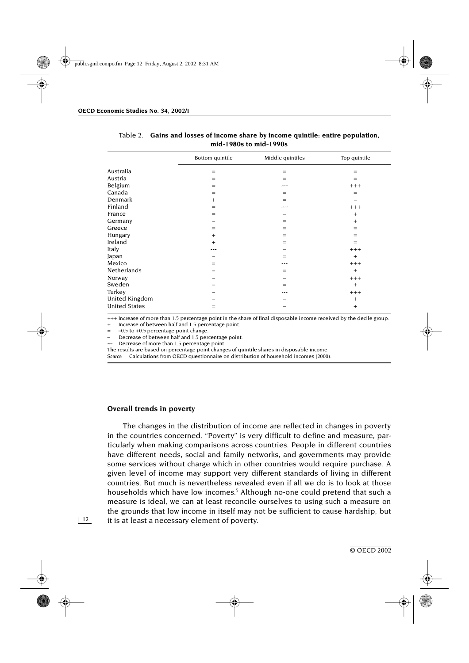|                      | Bottom quintile | Middle quintiles | Top quintile |
|----------------------|-----------------|------------------|--------------|
| Australia            | $=$             | $=$              | $=$          |
| Austria              | $=$             | $=$              | $=$          |
| Belgium              | $=$             | ---              | $+++$        |
| Canada               | $=$             | =                | $=$          |
| Denmark              | $+$             | $=$              |              |
| Finland              | $=$             | ---              | $+++$        |
| France               | $=$             |                  | $+$          |
| Germany              |                 | =                | $+$          |
| Greece               | $=$             | $=$              | $=$          |
| Hungary              | $+$             | $=$              | $=$          |
| Ireland              | $+$             | =                | $=$          |
| Italy                | ---             |                  | $+++$        |
| Japan                |                 | $=$              | $+$          |
| Mexico               | $=$             | ---              | $+++$        |
| Netherlands          |                 | $=$              | $+$          |
| Norway               |                 |                  | $+++$        |
| Sweden               |                 | $=$              | $+$          |
| Turkey               |                 |                  | $+++$        |
| United Kingdom       |                 |                  | $+$          |
| <b>United States</b> | $=$             |                  | $+$          |

#### Table 2. **Gains and losses of income share by income quintile: entire population, mid-1980s to mid-1990s**

+++ Increase of more than 1.5 percentage point in the share of final disposable income received by the decile group.

+ Increase of between half and 1.5 percentage point.

 $= -0.5$  to  $+0.5$  percentage point change.

– Decrease of between half and 1.5 percentage point.

--- Decrease of more than 1.5 percentage point.

The results are based on percentage point changes of quintile shares in disposable income.

*Source:* Calculations from OECD questionnaire on distribution of household incomes (2000).

## **Overall trends in poverty**

12

The changes in the distribution of income are reflected in changes in poverty in the countries concerned. "Poverty" is very difficult to define and measure, particularly when making comparisons across countries. People in different countries have different needs, social and family networks, and governments may provide some services without charge which in other countries would require purchase. A given level of income may support very different standards of living in different countries. But much is nevertheless revealed even if all we do is to look at those households which have low incomes.<sup>5</sup> Although no-one could pretend that such a measure is ideal, we can at least reconcile ourselves to using such a measure on the grounds that low income in itself may not be sufficient to cause hardship, but it is at least a necessary element of poverty.

© OECD 2002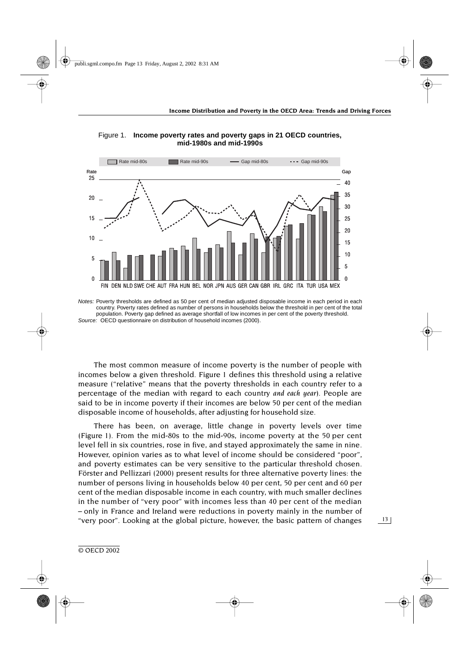

Figure 1. **Income poverty rates and poverty gaps in 21 OECD countries, mid-1980s and mid-1990s**

Notes: Poverty thresholds are defined as 50 per cent of median adjusted disposable income in each period in each country. Poverty rates defined as number of persons in households below the threshold in per cent of the total population. Poverty gap defined as average shortfall of low incomes in per cent of the poverty threshold. Source: OECD questionnaire on distribution of household incomes (2000).

The most common measure of income poverty is the number of people with incomes below a given threshold. Figure 1 defines this threshold using a relative measure ("relative" means that the poverty thresholds in each country refer to a percentage of the median with regard to each country *and each year*). People are said to be in income poverty if their incomes are below 50 per cent of the median disposable income of households, after adjusting for household size.

There has been, on average, little change in poverty levels over time (Figure 1). From the mid-80s to the mid-90s, income poverty at the 50 per cent level fell in six countries, rose in five, and stayed approximately the same in nine. However, opinion varies as to what level of income should be considered "poor", and poverty estimates can be very sensitive to the particular threshold chosen. Förster and Pellizzari (2000) present results for three alternative poverty lines: the number of persons living in households below 40 per cent, 50 per cent and 60 per cent of the median disposable income in each country, with much smaller declines in the number of "very poor" with incomes less than 40 per cent of the median – only in France and Ireland were reductions in poverty mainly in the number of "very poor". Looking at the global picture, however, the basic pattern of changes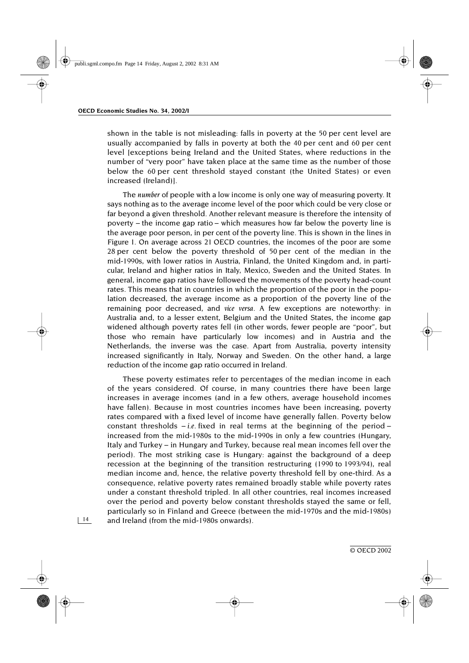14

shown in the table is not misleading: falls in poverty at the 50 per cent level are usually accompanied by falls in poverty at both the 40 per cent and 60 per cent level [exceptions being Ireland and the United States, where reductions in the number of "very poor" have taken place at the same time as the number of those below the 60 per cent threshold stayed constant (the United States) or even increased (Ireland)].

The *number* of people with a low income is only one way of measuring poverty. It says nothing as to the average income level of the poor which could be very close or far beyond a given threshold. Another relevant measure is therefore the intensity of poverty – the income gap ratio – which measures how far below the poverty line is the average poor person, in per cent of the poverty line. This is shown in the lines in Figure 1. On average across 21 OECD countries, the incomes of the poor are some 28 per cent below the poverty threshold of 50 per cent of the median in the mid-1990s, with lower ratios in Austria, Finland, the United Kingdom and, in particular, Ireland and higher ratios in Italy, Mexico, Sweden and the United States. In general, income gap ratios have followed the movements of the poverty head-count rates. This means that in countries in which the proportion of the poor in the population decreased, the average income as a proportion of the poverty line of the remaining poor decreased, and *vice versa*. A few exceptions are noteworthy: in Australia and, to a lesser extent, Belgium and the United States, the income gap widened although poverty rates fell (in other words, fewer people are "poor", but those who remain have particularly low incomes) and in Austria and the Netherlands, the inverse was the case. Apart from Australia, poverty intensity increased significantly in Italy, Norway and Sweden. On the other hand, a large reduction of the income gap ratio occurred in Ireland.

These poverty estimates refer to percentages of the median income in each of the years considered. Of course, in many countries there have been large increases in average incomes (and in a few others, average household incomes have fallen). Because in most countries incomes have been increasing, poverty rates compared with a fixed level of income have generally fallen. Poverty below constant thresholds  $-i.e.$  fixed in real terms at the beginning of the period – increased from the mid-1980s to the mid-1990s in only a few countries (Hungary, Italy and Turkey – in Hungary and Turkey, because real mean incomes fell over the period). The most striking case is Hungary: against the background of a deep recession at the beginning of the transition restructuring (1990 to 1993/94), real median income and, hence, the relative poverty threshold fell by one-third. As a consequence, relative poverty rates remained broadly stable while poverty rates under a constant threshold tripled. In all other countries, real incomes increased over the period and poverty below constant thresholds stayed the same or fell, particularly so in Finland and Greece (between the mid-1970s and the mid-1980s) and Ireland (from the mid-1980s onwards).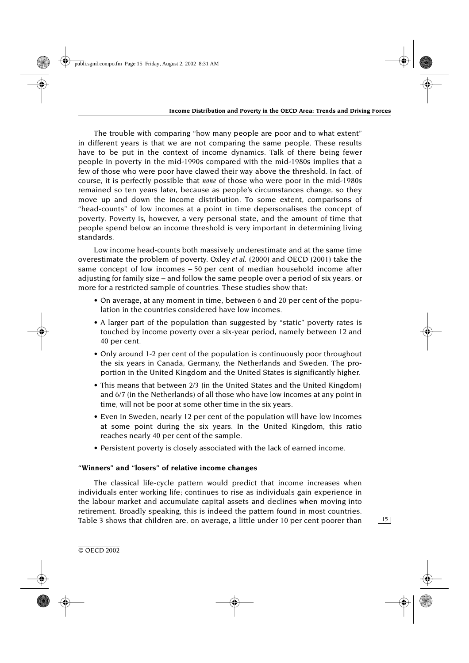The trouble with comparing "how many people are poor and to what extent" in different years is that we are not comparing the same people. These results have to be put in the context of income dynamics. Talk of there being fewer people in poverty in the mid-1990s compared with the mid-1980s implies that a few of those who were poor have clawed their way above the threshold. In fact, of course, it is perfectly possible that *none* of those who were poor in the mid-1980s remained so ten years later, because as people's circumstances change, so they move up and down the income distribution. To some extent, comparisons of "head-counts" of low incomes at a point in time depersonalises the concept of poverty. Poverty is, however, a very personal state, and the amount of time that people spend below an income threshold is very important in determining living standards.

Low income head-counts both massively underestimate and at the same time overestimate the problem of poverty. Oxley *et al.* (2000) and OECD (2001) take the same concept of low incomes – 50 per cent of median household income after adjusting for family size – and follow the same people over a period of six years, or more for a restricted sample of countries. These studies show that:

- On average, at any moment in time, between 6 and 20 per cent of the population in the countries considered have low incomes.
- A larger part of the population than suggested by "static" poverty rates is touched by income poverty over a six-year period, namely between 12 and 40 per cent.
- Only around 1-2 per cent of the population is continuously poor throughout the six years in Canada, Germany, the Netherlands and Sweden. The proportion in the United Kingdom and the United States is significantly higher.
- This means that between 2/3 (in the United States and the United Kingdom) and 6/7 (in the Netherlands) of all those who have low incomes at any point in time, will not be poor at some other time in the six years.
- Even in Sweden, nearly 12 per cent of the population will have low incomes at some point during the six years. In the United Kingdom, this ratio reaches nearly 40 per cent of the sample.
- Persistent poverty is closely associated with the lack of earned income.

# **"Winners" and "losers" of relative income changes**

The classical life-cycle pattern would predict that income increases when individuals enter working life; continues to rise as individuals gain experience in the labour market and accumulate capital assets and declines when moving into retirement. Broadly speaking, this is indeed the pattern found in most countries. Table 3 shows that children are, on average, a little under 10 per cent poorer than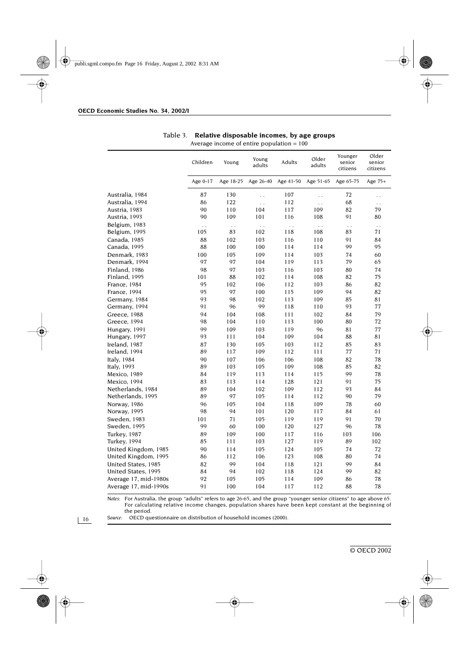|                                | Children             | Young                | Young<br>adults      | Adults               | Older<br>adults      | Younger<br>senior<br>citizens | Older<br>senior<br>citizens |
|--------------------------------|----------------------|----------------------|----------------------|----------------------|----------------------|-------------------------------|-----------------------------|
|                                | Age 0-17             | Age 18-25            | Age 26-40            | Age 41-50            | Age 51-65            | Age 65-75                     | Age 75+                     |
| Australia, 1984                | 87                   | 130                  | $\ddots$             | 107                  | $\ddot{\phantom{0}}$ | 72                            | $\ddots$                    |
| Australia, 1994                | 86                   | 122                  | $\ddots$             | 112                  | $\ddot{\phantom{0}}$ | 68                            | $\ddot{\phantom{0}}$        |
| Austria, 1983                  | 90                   | 110                  | 104                  | 117                  | 109                  | 82                            | 79                          |
| Austria, 1993                  | 90                   | 109                  | 101                  | 116                  | 108                  | 91                            | 80                          |
| Belgium, 1983                  | $\ddot{\phantom{0}}$ | $\ddot{\phantom{0}}$ | $\ddot{\phantom{0}}$ | $\ddot{\phantom{0}}$ | $\ddot{\phantom{0}}$ | $\ddot{\phantom{0}}$          | $\ddot{\phantom{1}}$ .      |
| Belgium, 1995                  | 105                  | 83                   | 102                  | 118                  | 108                  | 83                            | 71                          |
| Canada, 1985                   | 88                   | 102                  | 103                  | 116                  | 110                  | 91                            | 84                          |
| Canada, 1995                   | 88                   | 100                  | 100                  | 114                  | 114                  | 99                            | 95                          |
| Denmark, 1983                  | 100                  | 105                  | 109                  | 114                  | 103                  | 74                            | 60                          |
| Denmark, 1994                  | 97                   | 97                   | 104                  | 119                  | 113                  | 79                            | 65                          |
| Finland, 1986                  | 98                   | 97                   | 103                  | 116                  | 103                  | 80                            | 74                          |
| Finland, 1995                  | 101                  | 88                   | 102                  | 114                  | 108                  | 82                            | 75                          |
| <b>France, 1984</b>            | 95                   | 102                  | 106                  | 112                  | 103                  | 86                            | 82                          |
| <b>France, 1994</b>            | 95                   | 97                   | 100                  | 115                  | 109                  | 94                            | 82                          |
| Germany, 1984                  | 93                   | 98                   | 102                  | 113                  | 109                  | 85                            | 81                          |
| Germany, 1994                  | 91                   | 96                   | 99                   | 118                  | 110                  | 93                            | 77                          |
| Greece, 1988                   | 94                   | 104                  | 108                  | 111                  | 102                  | 84                            | 79                          |
| Greece, 1994                   | 98<br>99             | 104                  | 110                  | 113                  | 100                  | 80                            | 72                          |
| Hungary, 1991<br>Hungary, 1997 | 93                   | 109<br>111           | 103<br>104           | 119<br>109           | 96<br>104            | 81<br>88                      | 77<br>81                    |
| Ireland, 1987                  | 87                   | 130                  | 105                  | 103                  | 112                  | 85                            | 83                          |
| Ireland, 1994                  | 89                   | 117                  | 109                  | 112                  | 111                  | 77                            | 71                          |
| Italy, 1984                    | 90                   | 107                  | 106                  | 106                  | 108                  | 82                            | 78                          |
| Italy, 1993                    | 89                   | 103                  | 105                  | 109                  | 108                  | 85                            | 82                          |
| Mexico, 1989                   | 84                   | 119                  | 113                  | 114                  | 115                  | 99                            | 78                          |
| Mexico, 1994                   | 83                   | 113                  | 114                  | 128                  | 121                  | 91                            | 75                          |
| Netherlands, 1984              | 89                   | 104                  | 102                  | 109                  | 112                  | 93                            | 84                          |
| Netherlands, 1995              | 89                   | 97                   | 105                  | 114                  | 112                  | 90                            | 79                          |
| Norway, 1986                   | 96                   | 105                  | 104                  | 118                  | 109                  | 78                            | 60                          |
| Norway, 1995                   | 98                   | 94                   | 101                  | 120                  | 117                  | 84                            | 61                          |
| Sweden, 1983                   | 101                  | 71                   | 105                  | 119                  | 119                  | 91                            | 70                          |
| Sweden, 1995                   | 99                   | 60                   | 100                  | 120                  | 127                  | 96                            | 78                          |
| Turkey, 1987                   | 89                   | 109                  | 100                  | 117                  | 116                  | 103                           | 106                         |
| Turkey, 1994                   | 85                   | 111                  | 103                  | 127                  | 119                  | 89                            | 102                         |
| United Kingdom, 1985           | 90                   | 114                  | 105                  | 124                  | 105                  | 74                            | 72                          |
| United Kingdom, 1995           | 86                   | 112                  | 106                  | 123                  | 108                  | 80                            | 74                          |
| United States, 1985            | 82                   | 99                   | 104                  | 118                  | 121                  | 99                            | 84                          |
| United States, 1995            | 84                   | 94                   | 102                  | 118                  | 124                  | 99                            | 82                          |
| Average 17, mid-1980s          | 92                   | 105                  | 105                  | 114                  | 109                  | 86                            | 78                          |
| Average 17, mid-1990s          | 91                   | 100                  | 104                  | 117                  | 112                  | 88                            | 78                          |

# Table 3. **Relative disposable incomes, by age groups**

Average income of entire population  $= 100$ 

*Notes:* For Australia, the group "adults" refers to age 26-65, and the group "younger senior citizens" to age above 65. For calculating relative income changes, population shares have been kept constant at the beginning of the period.

*Source:* OECD questionnaire on distribution of household incomes (2000).

16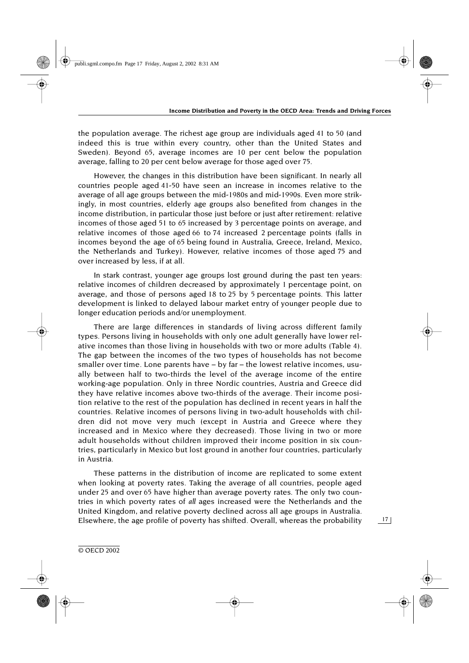the population average. The richest age group are individuals aged 41 to 50 (and indeed this is true within every country, other than the United States and Sweden). Beyond 65, average incomes are 10 per cent below the population average, falling to 20 per cent below average for those aged over 75.

However, the changes in this distribution have been significant. In nearly all countries people aged 41-50 have seen an increase in incomes relative to the average of all age groups between the mid-1980s and mid-1990s. Even more strikingly, in most countries, elderly age groups also benefited from changes in the income distribution, in particular those just before or just after retirement: relative incomes of those aged 51 to 65 increased by 3 percentage points on average, and relative incomes of those aged 66 to 74 increased 2 percentage points (falls in incomes beyond the age of 65 being found in Australia, Greece, Ireland, Mexico, the Netherlands and Turkey). However, relative incomes of those aged 75 and over increased by less, if at all.

In stark contrast, younger age groups lost ground during the past ten years: relative incomes of children decreased by approximately 1 percentage point, on average, and those of persons aged 18 to 25 by 5 percentage points. This latter development is linked to delayed labour market entry of younger people due to longer education periods and/or unemployment.

There are large differences in standards of living across different family types. Persons living in households with only one adult generally have lower relative incomes than those living in households with two or more adults (Table 4). The gap between the incomes of the two types of households has not become smaller over time. Lone parents have – by far – the lowest relative incomes, usually between half to two-thirds the level of the average income of the entire working-age population. Only in three Nordic countries, Austria and Greece did they have relative incomes above two-thirds of the average. Their income position relative to the rest of the population has declined in recent years in half the countries. Relative incomes of persons living in two-adult households with children did not move very much (except in Austria and Greece where they increased and in Mexico where they decreased). Those living in two or more adult households without children improved their income position in six countries, particularly in Mexico but lost ground in another four countries, particularly in Austria.

These patterns in the distribution of income are replicated to some extent when looking at poverty rates. Taking the average of all countries, people aged under 25 and over 65 have higher than average poverty rates. The only two countries in which poverty rates of *all* ages increased were the Netherlands and the United Kingdom, and relative poverty declined across all age groups in Australia. Elsewhere, the age profile of poverty has shifted. Overall, whereas the probability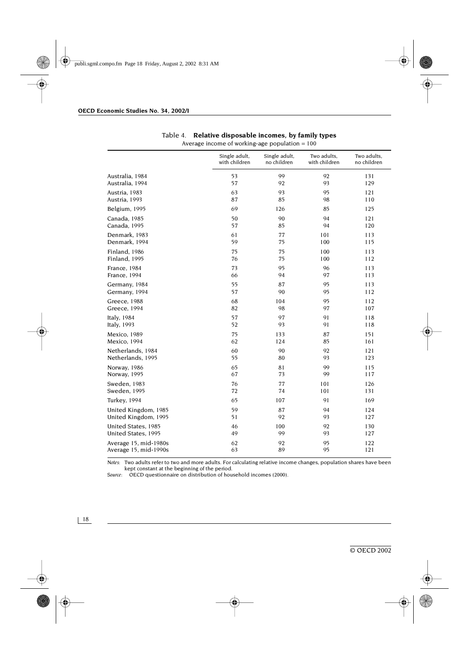|                       | ັ             |               |               |             |
|-----------------------|---------------|---------------|---------------|-------------|
|                       | Single adult, | Single adult, | Two adults,   | Two adults, |
|                       | with children | no children   | with children | no children |
| Australia, 1984       | 53            | 99            | 92            | 131         |
| Australia, 1994       | 57            | 92            | 93            | 129         |
| Austria, 1983         | 63            | 93            | 95            | 121         |
| Austria, 1993         | 87            | 85            | 98            | 110         |
| Belgium, 1995         | 69            | 126           | 85            | 125         |
| Canada, 1985          | 50            | 90            | 94            | 121         |
| Canada, 1995          | 57            | 85            | 94            | 120         |
| Denmark, 1983         | 61            | 77            | 101           | 113         |
| Denmark, 1994         | 59            | 75            | 100           | 115         |
| Finland, 1986         | 75            | 75            | 100           | 113         |
| Finland, 1995         | 76            | 75            | 100           | 112         |
| France, 1984          | 73            | 95            | 96            | 113         |
| France, 1994          | 66            | 94            | 97            | 113         |
| Germany, 1984         | 55            | 87            | 95            | 113         |
| Germany, 1994         | 57            | 90            | 95            | 112         |
| Greece, 1988          | 68            | 104           | 95            | 112         |
| Greece, 1994          | 82            | 98            | 97            | 107         |
| Italy, 1984           | 57            | 97            | 91            | 118         |
| Italy, 1993           | 52            | 93            | 91            | 118         |
| Mexico, 1989          | 75            | 133           | 87            | 151         |
| Mexico, 1994          | 62            | 124           | 85            | 161         |
| Netherlands, 1984     | 60            | 90            | 92            | 121         |
| Netherlands, 1995     | 55            | 80            | 93            | 123         |
| Norway, 1986          | 65            | 81            | 99            | 115         |
| Norway, 1995          | 67            | 73            | 99            | 117         |
| Sweden, 1983          | 76            | 77            | 101           | 126         |
| Sweden, 1995          | 72            | 74            | 101           | 131         |
| <b>Turkey</b> , 1994  | 65            | 107           | 91            | 169         |
| United Kingdom, 1985  | 59            | 87            | 94            | 124         |
| United Kingdom, 1995  | 51            | 92            | 93            | 127         |
| United States, 1985   | 46            | 100           | 92            | 130         |
| United States, 1995   | 49            | 99            | 93            | 127         |
| Average 15, mid-1980s | 62            | 92            | 95            | 122         |
| Average 15, mid-1990s | 63            | 89            | 95            | 121         |

# Table 4. **Relative disposable incomes, by family types**

Average income of working-age population  $= 100$ 

*Notes:* Two adults refer to two and more adults. For calculating relative income changes, population shares have been kept constant at the beginning of the period.

*Source:* OECD questionnaire on distribution of household incomes (2000).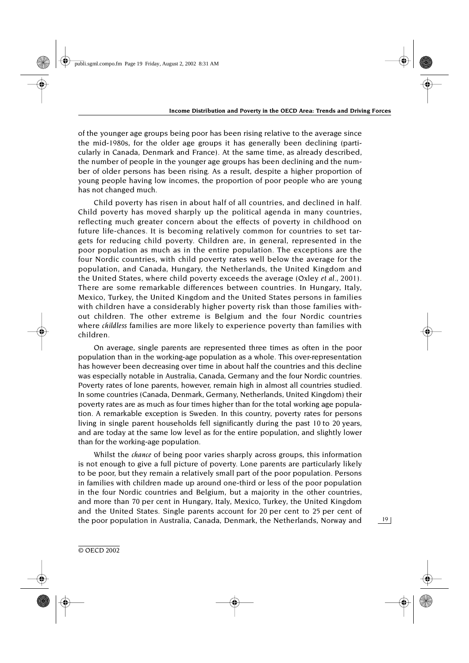of the younger age groups being poor has been rising relative to the average since the mid-1980s, for the older age groups it has generally been declining (particularly in Canada, Denmark and France). At the same time, as already described, the number of people in the younger age groups has been declining and the number of older persons has been rising. As a result, despite a higher proportion of young people having low incomes, the proportion of poor people who are young has not changed much.

Child poverty has risen in about half of all countries, and declined in half. Child poverty has moved sharply up the political agenda in many countries, reflecting much greater concern about the effects of poverty in childhood on future life-chances. It is becoming relatively common for countries to set targets for reducing child poverty. Children are, in general, represented in the poor population as much as in the entire population. The exceptions are the four Nordic countries, with child poverty rates well below the average for the population, and Canada, Hungary, the Netherlands, the United Kingdom and the United States, where child poverty exceeds the average (Oxley *et al.*, 2001). There are some remarkable differences between countries. In Hungary, Italy, Mexico, Turkey, the United Kingdom and the United States persons in families with children have a considerably higher poverty risk than those families without children. The other extreme is Belgium and the four Nordic countries where *childless* families are more likely to experience poverty than families with children.

On average, single parents are represented three times as often in the poor population than in the working-age population as a whole. This over-representation has however been decreasing over time in about half the countries and this decline was especially notable in Australia, Canada, Germany and the four Nordic countries. Poverty rates of lone parents, however, remain high in almost all countries studied. In some countries (Canada, Denmark, Germany, Netherlands, United Kingdom) their poverty rates are as much as four times higher than for the total working age population. A remarkable exception is Sweden. In this country, poverty rates for persons living in single parent households fell significantly during the past 10 to 20 years, and are today at the same low level as for the entire population, and slightly lower than for the working-age population.

Whilst the *chance* of being poor varies sharply across groups, this information is not enough to give a full picture of poverty. Lone parents are particularly likely to be poor, but they remain a relatively small part of the poor population. Persons in families with children made up around one-third or less of the poor population in the four Nordic countries and Belgium, but a majority in the other countries, and more than 70 per cent in Hungary, Italy, Mexico, Turkey, the United Kingdom and the United States. Single parents account for 20 per cent to 25 per cent of the poor population in Australia, Canada, Denmark, the Netherlands, Norway and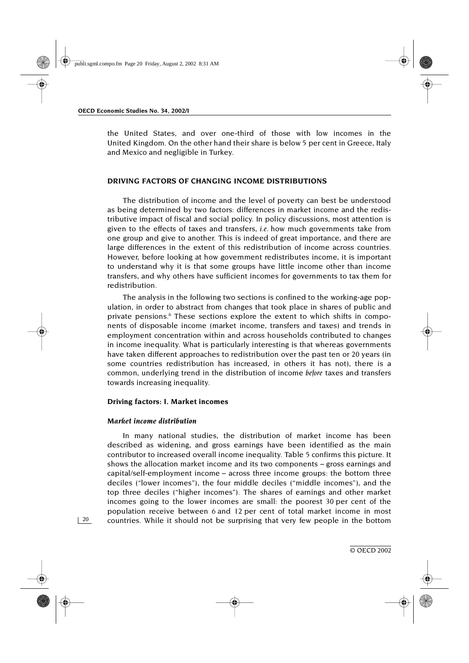the United States, and over one-third of those with low incomes in the United Kingdom. On the other hand their share is below 5 per cent in Greece, Italy and Mexico and negligible in Turkey.

### **DRIVING FACTORS OF CHANGING INCOME DISTRIBUTIONS**

The distribution of income and the level of poverty can best be understood as being determined by two factors: differences in market income and the redistributive impact of fiscal and social policy. In policy discussions, most attention is given to the effects of taxes and transfers, *i.e.* how much governments take from one group and give to another. This is indeed of great importance, and there are large differences in the extent of this redistribution of income across countries. However, before looking at how government redistributes income, it is important to understand why it is that some groups have little income other than income transfers, and why others have sufficient incomes for governments to tax them for redistribution.

The analysis in the following two sections is confined to the working-age population, in order to abstract from changes that took place in shares of public and private pensions.<sup>6</sup> These sections explore the extent to which shifts in components of disposable income (market income, transfers and taxes) and trends in employment concentration within and across households contributed to changes in income inequality. What is particularly interesting is that whereas governments have taken different approaches to redistribution over the past ten or 20 years (in some countries redistribution has increased, in others it has not), there is a common, underlying trend in the distribution of income *before* taxes and transfers towards increasing inequality.

#### **Driving factors: I. Market incomes**

#### *Market income distribution*

In many national studies, the distribution of market income has been described as widening, and gross earnings have been identified as the main contributor to increased overall income inequality. Table 5 confirms this picture. It shows the allocation market income and its two components – gross earnings and capital/self-employment income – across three income groups: the bottom three deciles ("lower incomes"), the four middle deciles ("middle incomes"), and the top three deciles ("higher incomes"). The shares of earnings and other market incomes going to the lower incomes are small: the poorest 30 per cent of the population receive between 6 and 12 per cent of total market income in most countries. While it should not be surprising that very few people in the bottom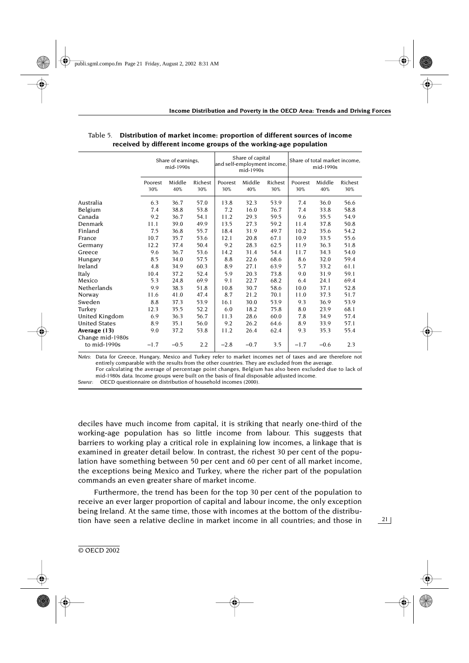|                      | Share of earnings,<br>mid-1990s |               |                | Share of capital<br>and self-employment income,<br>mid-1990s |               |                | Share of total market income,<br>mid-1990s |               |                |
|----------------------|---------------------------------|---------------|----------------|--------------------------------------------------------------|---------------|----------------|--------------------------------------------|---------------|----------------|
|                      | Poorest<br>30%                  | Middle<br>40% | Richest<br>30% | Poorest<br>30%                                               | Middle<br>40% | Richest<br>30% | Poorest<br>30%                             | Middle<br>40% | Richest<br>30% |
| Australia            | 6.3                             | 36.7          | 57.0           | 13.8                                                         | 32.3          | 53.9           | 7.4                                        | 36.0          | 56.6           |
| Belgium              | 7.4                             | 38.8          | 53.8           | 7.2                                                          | 16.0          | 76.7           | 7.4                                        | 33.8          | 58.8           |
| Canada               | 9.2                             | 36.7          | 54.1           | 11.2                                                         | 29.3          | 59.5           | 9.6                                        | 35.5          | 54.9           |
| Denmark              | 11.1                            | 39.0          | 49.9           | 13.5                                                         | 27.3          | 59.2           | 11.4                                       | 37.8          | 50.8           |
| Finland              | 7.5                             | 36.8          | 55.7           | 18.4                                                         | 31.9          | 49.7           | 10.2                                       | 35.6          | 54.2           |
| France               | 10.7                            | 35.7          | 53.6           | 12.1                                                         | 20.8          | 67.1           | 10.9                                       | 33.5          | 55.6           |
| Germany              | 12.2                            | 37.4          | 50.4           | 9.2                                                          | 28.3          | 62.5           | 11.9                                       | 36.3          | 51.8           |
| Greece               | 9.6                             | 36.7          | 53.6           | 14.2                                                         | 31.4          | 54.4           | 11.7                                       | 34.3          | 54.0           |
| Hungary              | 8.5                             | 34.0          | 57.5           | 8.8                                                          | 22.6          | 68.6           | 8.6                                        | 32.0          | 59.4           |
| Ireland              | 4.8                             | 34.9          | 60.3           | 8.9                                                          | 27.1          | 63.9           | 5.7                                        | 33.2          | 61.1           |
| Italy                | 10.4                            | 37.2          | 52.4           | 5.9                                                          | 20.3          | 73.8           | 9.0                                        | 31.9          | 59.1           |
| Mexico               | 5.3                             | 24.8          | 69.9           | 9.1                                                          | 22.7          | 68.2           | 6.4                                        | 24.1          | 69.4           |
| Netherlands          | 9.9                             | 38.3          | 51.8           | 10.8                                                         | 30.7          | 58.6           | 10.0                                       | 37.1          | 52.8           |
| Norway               | 11.6                            | 41.0          | 47.4           | 8.7                                                          | 21.2          | 70.1           | 11.0                                       | 37.3          | 51.7           |
| Sweden               | 8.8                             | 37.3          | 53.9           | 16.1                                                         | 30.0          | 53.9           | 9.3                                        | 36.9          | 53.9           |
| Turkey               | 12.3                            | 35.5          | 52.2           | 6.0                                                          | 18.2          | 75.8           | 8.0                                        | 23.9          | 68.1           |
| United Kingdom       | 6.9                             | 36.3          | 56.7           | 11.3                                                         | 28.6          | 60.0           | 7.8                                        | 34.9          | 57.4           |
| <b>United States</b> | 8.9                             | 35.1          | 56.0           | 9.2                                                          | 26.2          | 64.6           | 8.9                                        | 33.9          | 57.1           |
| Average (13)         | 9.0                             | 37.2          | 53.8           | 11.2                                                         | 26.4          | 62.4           | 9.3                                        | 35.3          | 55.4           |
| Change mid-1980s     |                                 |               |                |                                                              |               |                |                                            |               |                |
| to mid-1990s         | $-1.7$                          | $-0.5$        | 2.2            | $-2.8$                                                       | $-0.7$        | 3.5            | $-1.7$                                     | $-0.6$        | 2.3            |

### Table 5. **Distribution of market income: proportion of different sources of income received by different income groups of the working-age population**

*Notes:* Data for Greece, Hungary, Mexico and Turkey refer to market incomes net of taxes and are therefore not entirely comparable with the results from the other countries. They are excluded from the average. For calculating the average of percentage point changes, Belgium has also been excluded due to lack of mid-1980s data. Income groups were built on the basis of final disposable adjusted income.

*Source:* OECD questionnaire on distribution of household incomes (2000).

deciles have much income from capital, it is striking that nearly one-third of the working-age population has so little income from labour. This suggests that barriers to working play a critical role in explaining low incomes, a linkage that is examined in greater detail below. In contrast, the richest 30 per cent of the population have something between 50 per cent and 60 per cent of all market income, the exceptions being Mexico and Turkey, where the richer part of the population commands an even greater share of market income.

Furthermore, the trend has been for the top 30 per cent of the population to receive an ever larger proportion of capital and labour income, the only exception being Ireland. At the same time, those with incomes at the bottom of the distribution have seen a relative decline in market income in all countries; and those in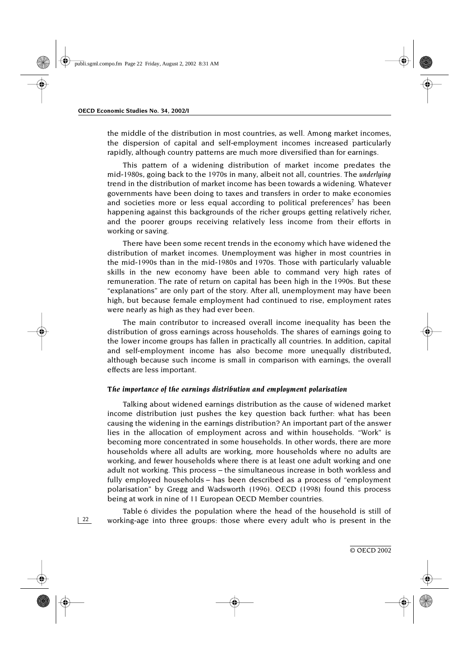the middle of the distribution in most countries, as well. Among market incomes, the dispersion of capital and self-employment incomes increased particularly rapidly, although country patterns are much more diversified than for earnings.

This pattern of a widening distribution of market income predates the mid-1980s, going back to the 1970s in many, albeit not all, countries. The *underlying* trend in the distribution of market income has been towards a widening. Whatever governments have been doing to taxes and transfers in order to make economies and societies more or less equal according to political preferences<sup>7</sup> has been happening against this backgrounds of the richer groups getting relatively richer, and the poorer groups receiving relatively less income from their efforts in working or saving.

There have been some recent trends in the economy which have widened the distribution of market incomes. Unemployment was higher in most countries in the mid-1990s than in the mid-1980s and 1970s. Those with particularly valuable skills in the new economy have been able to command very high rates of remuneration. The rate of return on capital has been high in the 1990s. But these "explanations" are only part of the story. After all, unemployment may have been high, but because female employment had continued to rise, employment rates were nearly as high as they had ever been.

The main contributor to increased overall income inequality has been the distribution of gross earnings across households. The shares of earnings going to the lower income groups has fallen in practically all countries. In addition, capital and self-employment income has also become more unequally distributed, although because such income is small in comparison with earnings, the overall effects are less important.

#### *The importance of the earnings distribution and employment polarisation*

Talking about widened earnings distribution as the cause of widened market income distribution just pushes the key question back further: what has been causing the widening in the earnings distribution? An important part of the answer lies in the allocation of employment across and within households. "Work" is becoming more concentrated in some households. In other words, there are more households where all adults are working, more households where no adults are working, and fewer households where there is at least one adult working and one adult not working. This process – the simultaneous increase in both workless and fully employed households – has been described as a process of "employment polarisation" by Gregg and Wadsworth (1996). OECD (1998) found this process being at work in nine of 11 European OECD Member countries.

Table 6 divides the population where the head of the household is still of working-age into three groups: those where every adult who is present in the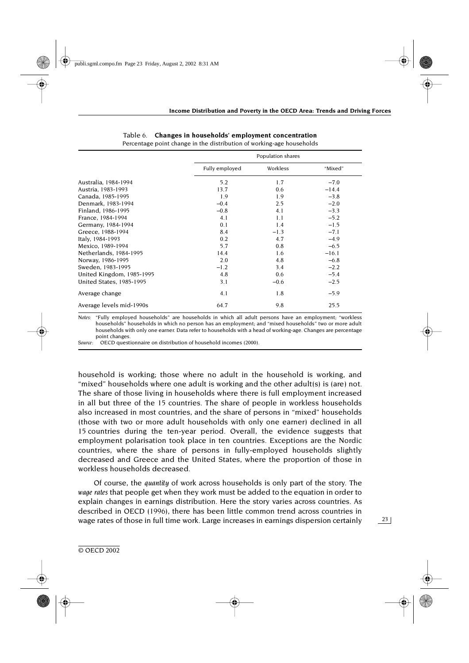|                                 |                | Population shares |         |  |  |  |  |
|---------------------------------|----------------|-------------------|---------|--|--|--|--|
|                                 | Fully employed | Workless          | "Mixed" |  |  |  |  |
| Australia, 1984-1994            | 5.2            | 1.7               | $-7.0$  |  |  |  |  |
| Austria, 1983-1993              | 13.7           | 0.6               | $-14.4$ |  |  |  |  |
| Canada, 1985-1995               | 1.9            | 1.9               | $-3.8$  |  |  |  |  |
| Denmark, 1983-1994              | $-0.4$         | 2.5               | $-2.0$  |  |  |  |  |
| Finland, 1986-1995              | $-0.8$         | 4.1               | $-3.3$  |  |  |  |  |
| France, 1984-1994               | 4.1            | 1.1               | $-5.2$  |  |  |  |  |
| Germany, 1984-1994              | 0.1            | 1.4               | $-1.5$  |  |  |  |  |
| Greece, 1988-1994               | 8.4            | $-1.3$            | $-7.1$  |  |  |  |  |
| Italy, 1984-1993                | 0.2            | 4.7               | $-4.9$  |  |  |  |  |
| Mexico, 1989-1994               | 5.7            | 0.8               | $-6.5$  |  |  |  |  |
| Netherlands, 1984-1995          | 14.4           | 1.6               | $-16.1$ |  |  |  |  |
| Norway, 1986-1995               | 2.0            | 4.8               | $-6.8$  |  |  |  |  |
| Sweden, 1983-1995               | $-1.2$         | 3.4               | $-2.2$  |  |  |  |  |
| United Kingdom, 1985-1995       | 4.8            | 0.6               | $-5.4$  |  |  |  |  |
| <b>United States, 1985-1995</b> | 3.1            | $-0.6$            | $-2.5$  |  |  |  |  |
| Average change                  | 4.1            | 1.8               | $-5.9$  |  |  |  |  |
| Average levels mid-1990s        | 64.7           | 9.8               | 25.5    |  |  |  |  |

|  | Table 6. Changes in households' employment concentration |  |  |
|--|----------------------------------------------------------|--|--|
|--|----------------------------------------------------------|--|--|

Percentage point change in the distribution of working-age households

*Notes:* "Fully employed households" are households in which all adult persons have an employment; "workless households" households in which no person has an employment; and "mixed households" two or more adult households with only one earner. Data refer to households with a head of working-age. Changes are percentage point changes.

*Source:* OECD questionnaire on distribution of household incomes (2000).

household is working; those where no adult in the household is working, and "mixed" households where one adult is working and the other adult(s) is (are) not. The share of those living in households where there is full employment increased in all but three of the 15 countries. The share of people in workless households also increased in most countries, and the share of persons in "mixed" households (those with two or more adult households with only one earner) declined in all 15 countries during the ten-year period. Overall, the evidence suggests that employment polarisation took place in ten countries. Exceptions are the Nordic countries, where the share of persons in fully-employed households slightly decreased and Greece and the United States, where the proportion of those in workless households decreased.

Of course, the *quantity* of work across households is only part of the story. The *wage rates* that people get when they work must be added to the equation in order to explain changes in earnings distribution. Here the story varies across countries. As described in OECD (1996), there has been little common trend across countries in wage rates of those in full time work. Large increases in earnings dispersion certainly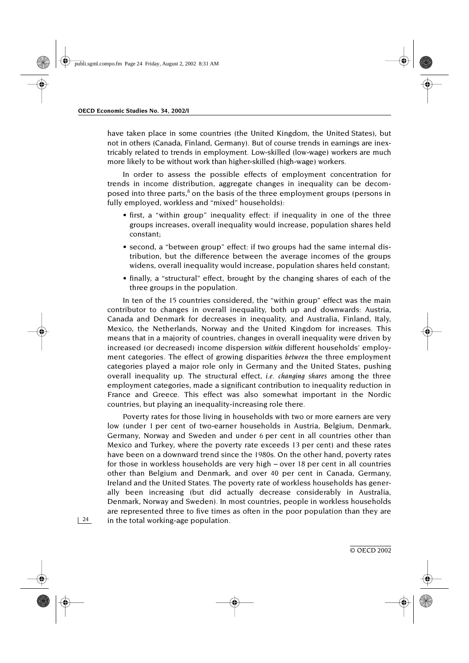24

have taken place in some countries (the United Kingdom, the United States), but not in others (Canada, Finland, Germany). But of course trends in earnings are inextricably related to trends in employment. Low-skilled (low-wage) workers are much more likely to be without work than higher-skilled (high-wage) workers.

In order to assess the possible effects of employment concentration for trends in income distribution, aggregate changes in inequality can be decomposed into three parts, $8$  on the basis of the three employment groups (persons in fully employed, workless and "mixed" households):

- first, a "within group" inequality effect: if inequality in one of the three groups increases, overall inequality would increase, population shares held constant;
- second, a "between group" effect: if two groups had the same internal distribution, but the difference between the average incomes of the groups widens, overall inequality would increase, population shares held constant;
- finally, a "structural" effect, brought by the changing shares of each of the three groups in the population.

In ten of the 15 countries considered, the "within group" effect was the main contributor to changes in overall inequality, both up and downwards: Austria, Canada and Denmark for decreases in inequality, and Australia, Finland, Italy, Mexico, the Netherlands, Norway and the United Kingdom for increases. This means that in a majority of countries, changes in overall inequality were driven by increased (or decreased) income dispersion *within* different households' employment categories. The effect of growing disparities *between* the three employment categories played a major role only in Germany and the United States, pushing overall inequality up. The structural effect, *i.e. changing shares* among the three employment categories, made a significant contribution to inequality reduction in France and Greece. This effect was also somewhat important in the Nordic countries, but playing an inequality-increasing role there.

Poverty rates for those living in households with two or more earners are very low (under 1 per cent of two-earner households in Austria, Belgium, Denmark, Germany, Norway and Sweden and under 6 per cent in all countries other than Mexico and Turkey, where the poverty rate exceeds 13 per cent) and these rates have been on a downward trend since the 1980s. On the other hand, poverty rates for those in workless households are very high – over 18 per cent in all countries other than Belgium and Denmark, and over 40 per cent in Canada, Germany, Ireland and the United States. The poverty rate of workless households has generally been increasing (but did actually decrease considerably in Australia, Denmark, Norway and Sweden). In most countries, people in workless households are represented three to five times as often in the poor population than they are in the total working-age population.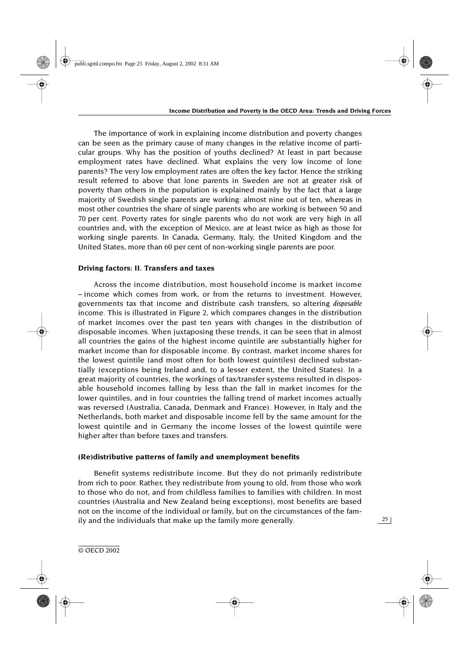The importance of work in explaining income distribution and poverty changes can be seen as the primary cause of many changes in the relative income of particular groups. Why has the position of youths declined? At least in part because employment rates have declined. What explains the very low income of lone parents? The very low employment rates are often the key factor. Hence the striking result referred to above that lone parents in Sweden are not at greater risk of poverty than others in the population is explained mainly by the fact that a large majority of Swedish single parents are working: almost nine out of ten, whereas in most other countries the share of single parents who are working is between 50 and 70 per cent. Poverty rates for single parents who do not work are very high in all countries and, with the exception of Mexico, are at least twice as high as those for working single parents. In Canada, Germany, Italy, the United Kingdom and the United States, more than 60 per cent of non-working single parents are poor.

## **Driving factors: II. Transfers and taxes**

Across the income distribution, most household income is market income – income which comes from work, or from the returns to investment. However, governments tax that income and distribute cash transfers, so altering *disposable* income. This is illustrated in Figure 2, which compares changes in the distribution of market incomes over the past ten years with changes in the distribution of disposable incomes. When juxtaposing these trends, it can be seen that in almost all countries the gains of the highest income quintile are substantially higher for market income than for disposable income. By contrast, market income shares for the lowest quintile (and most often for both lowest quintiles) declined substantially (exceptions being Ireland and, to a lesser extent, the United States). In a great majority of countries, the workings of tax/transfer systems resulted in disposable household incomes falling by less than the fall in market incomes for the lower quintiles, and in four countries the falling trend of market incomes actually was reversed (Australia, Canada, Denmark and France). However, in Italy and the Netherlands, both market and disposable income fell by the same amount for the lowest quintile and in Germany the income losses of the lowest quintile were higher after than before taxes and transfers.

## **(Re)distributive patterns of family and unemployment benefits**

Benefit systems redistribute income. But they do not primarily redistribute from rich to poor. Rather, they redistribute from young to old, from those who work to those who do not, and from childless families to families with children. In most countries (Australia and New Zealand being exceptions), most benefits are based not on the income of the individual or family, but on the circumstances of the family and the individuals that make up the family more generally.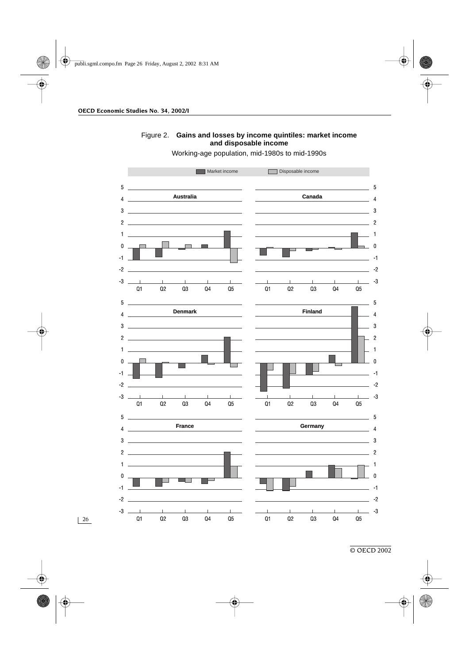## Figure 2. **Gains and losses by income quintiles: market income and disposable income**

Working-age population, mid-1980s to mid-1990s



26

© OECD 2002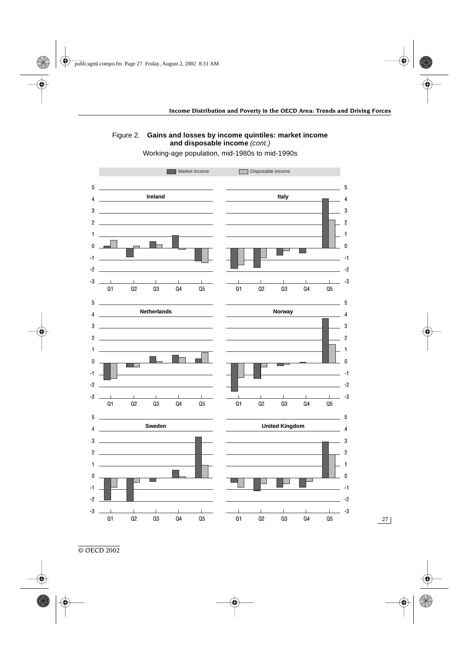27

## Figure 2. **Gains and losses by income quintiles: market income and disposable income** (cont.)

**Market income** Disposable income 5 5 **Ireland Italy** 4 4 3 3 2 2 1 1  $\mathfrak{o}$  $\overline{0}$ ш -1 -1 -2 -2 -3  $\mathbf{L}$ -3  $Q1$ Q2 Q3 Q4 Q5 Q1 Q2 Q3 Q4 Q5 5 5 **Netherlands Norway**  $4 \quad \qquad$ 4 3 3 2 2 1 1 0  $\theta$ m in -1 -1 -2 -2  $-3$   $\mathbf{I}$  $\mathbf{L}$  $-3$ Q1 Q2 Q3 Q4 Q5 Q1 Q2 Q3 Q4 Q5  $5 \quad \qquad$  $-5$ **Sweden United Kingdom**  $4 \overline{\phantom{a} \phantom{a} \phantom{a} \phantom{a} \phantom{a} \phantom{a} \phantom{a} \phantom{a} \phantom{a} \phantom{a} \phantom{a} \phantom{a} \phantom{a} \phantom{a} \phantom{a} \phantom{a} \phantom{a} \phantom{a} \phantom{a} \phantom{a} \phantom{a} \phantom{a} \phantom{a} \phantom{a} \phantom{a} \phantom{a} \phantom{a} \phantom{a} \phantom{a} \phantom{a} \phantom{a} \phantom{a} \phantom{a} \phantom{a} \phantom{a} \phantom{a}$ 4 3 3 2 2 1  $\overline{1}$ 0 0 -1 -1 -2 -2 -3  $\mathbf{I}$  $-3$ Q1 Q2 Q3 Q4 Q5 Q1 Q2 Q3 Q4 Q5

Working-age population, mid-1980s to mid-1990s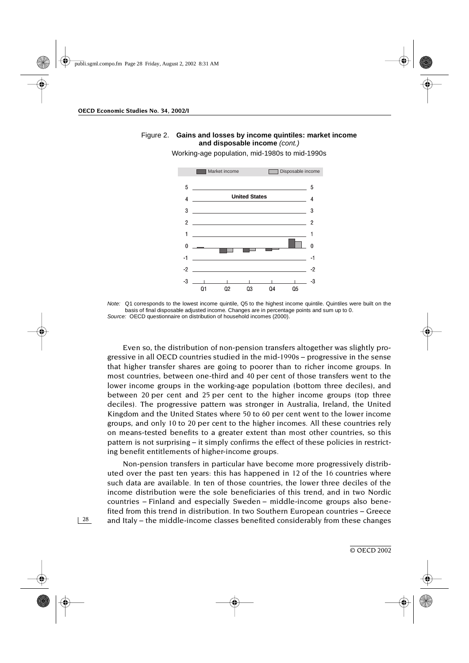## Figure 2. **Gains and losses by income quintiles: market income and disposable income** (cont.)





Note: Q1 corresponds to the lowest income quintile, Q5 to the highest income quintile. Quintiles were built on the basis of final disposable adjusted income. Changes are in percentage points and sum up to 0. Source: OECD questionnaire on distribution of household incomes (2000).

Even so, the distribution of non-pension transfers altogether was slightly progressive in all OECD countries studied in the mid-1990s – progressive in the sense that higher transfer shares are going to poorer than to richer income groups. In most countries, between one-third and 40 per cent of those transfers went to the lower income groups in the working-age population (bottom three deciles), and between 20 per cent and 25 per cent to the higher income groups (top three deciles). The progressive pattern was stronger in Australia, Ireland, the United Kingdom and the United States where 50 to 60 per cent went to the lower income groups, and only 10 to 20 per cent to the higher incomes. All these countries rely on means-tested benefits to a greater extent than most other countries, so this pattern is not surprising – it simply confirms the effect of these policies in restricting benefit entitlements of higher-income groups.

Non-pension transfers in particular have become more progressively distributed over the past ten years: this has happened in 12 of the 16 countries where such data are available. In ten of those countries, the lower three deciles of the income distribution were the sole beneficiaries of this trend, and in two Nordic countries – Finland and especially Sweden – middle-income groups also benefited from this trend in distribution. In two Southern European countries – Greece and Italy – the middle-income classes benefited considerably from these changes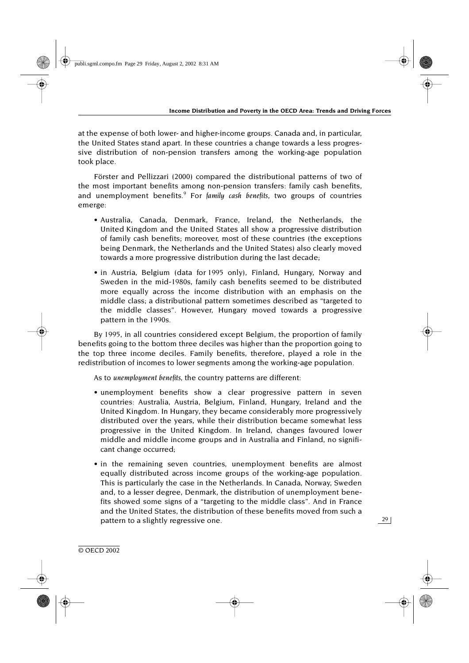at the expense of both lower- and higher-income groups. Canada and, in particular, the United States stand apart. In these countries a change towards a less progressive distribution of non-pension transfers among the working-age population took place.

Förster and Pellizzari (2000) compared the distributional patterns of two of the most important benefits among non-pension transfers: family cash benefits, and unemployment benefits.<sup>9</sup> For *family cash benefits*, two groups of countries emerge:

- Australia, Canada, Denmark, France, Ireland, the Netherlands, the United Kingdom and the United States all show a progressive distribution of family cash benefits; moreover, most of these countries (the exceptions being Denmark, the Netherlands and the United States) also clearly moved towards a more progressive distribution during the last decade;
- in Austria, Belgium (data for 1995 only), Finland, Hungary, Norway and Sweden in the mid-1980s, family cash benefits seemed to be distributed more equally across the income distribution with an emphasis on the middle class; a distributional pattern sometimes described as "targeted to the middle classes". However, Hungary moved towards a progressive pattern in the 1990s.

By 1995, in all countries considered except Belgium, the proportion of family benefits going to the bottom three deciles was higher than the proportion going to the top three income deciles. Family benefits, therefore, played a role in the redistribution of incomes to lower segments among the working-age population.

As to *unemployment benefits*, the country patterns are different:

- unemployment benefits show a clear progressive pattern in seven countries: Australia, Austria, Belgium, Finland, Hungary, Ireland and the United Kingdom. In Hungary, they became considerably more progressively distributed over the years, while their distribution became somewhat less progressive in the United Kingdom. In Ireland, changes favoured lower middle and middle income groups and in Australia and Finland, no significant change occurred;
- in the remaining seven countries, unemployment benefits are almost equally distributed across income groups of the working-age population. This is particularly the case in the Netherlands. In Canada, Norway, Sweden and, to a lesser degree, Denmark, the distribution of unemployment benefits showed some signs of a "targeting to the middle class". And in France and the United States, the distribution of these benefits moved from such a pattern to a slightly regressive one.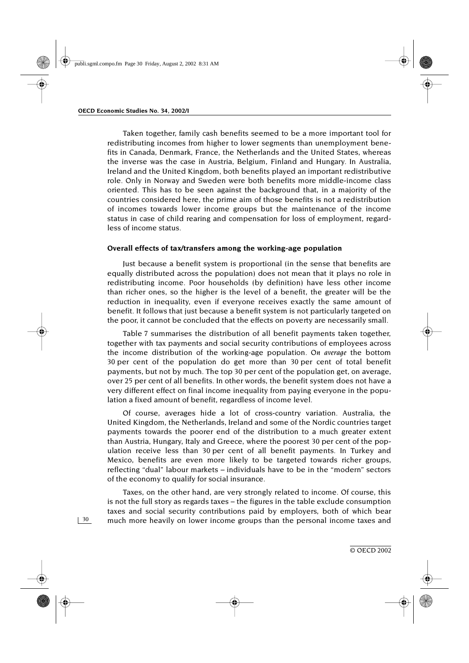Taken together, family cash benefits seemed to be a more important tool for redistributing incomes from higher to lower segments than unemployment benefits in Canada, Denmark, France, the Netherlands and the United States, whereas the inverse was the case in Austria, Belgium, Finland and Hungary. In Australia, Ireland and the United Kingdom, both benefits played an important redistributive role. Only in Norway and Sweden were both benefits more middle-income class oriented. This has to be seen against the background that, in a majority of the countries considered here, the prime aim of those benefits is not a redistribution of incomes towards lower income groups but the maintenance of the income status in case of child rearing and compensation for loss of employment, regardless of income status.

#### **Overall effects of tax/transfers among the working-age population**

Just because a benefit system is proportional (in the sense that benefits are equally distributed across the population) does not mean that it plays no role in redistributing income. Poor households (by definition) have less other income than richer ones, so the higher is the level of a benefit, the greater will be the reduction in inequality, even if everyone receives exactly the same amount of benefit. It follows that just because a benefit system is not particularly targeted on the poor, it cannot be concluded that the effects on poverty are necessarily small.

Table 7 summarises the distribution of all benefit payments taken together, together with tax payments and social security contributions of employees across the income distribution of the working-age population. *On average* the bottom 30 per cent of the population do get more than 30 per cent of total benefit payments, but not by much. The top 30 per cent of the population get, on average, over 25 per cent of all benefits. In other words, the benefit system does not have a very different effect on final income inequality from paying everyone in the population a fixed amount of benefit, regardless of income level.

Of course, averages hide a lot of cross-country variation. Australia, the United Kingdom, the Netherlands, Ireland and some of the Nordic countries target payments towards the poorer end of the distribution to a much greater extent than Austria, Hungary, Italy and Greece, where the poorest 30 per cent of the population receive less than 30 per cent of all benefit payments. In Turkey and Mexico, benefits are even more likely to be targeted towards richer groups, reflecting "dual" labour markets – individuals have to be in the "modern" sectors of the economy to qualify for social insurance.

Taxes, on the other hand, are very strongly related to income. Of course, this is not the full story as regards taxes – the figures in the table exclude consumption taxes and social security contributions paid by employers, both of which bear much more heavily on lower income groups than the personal income taxes and

30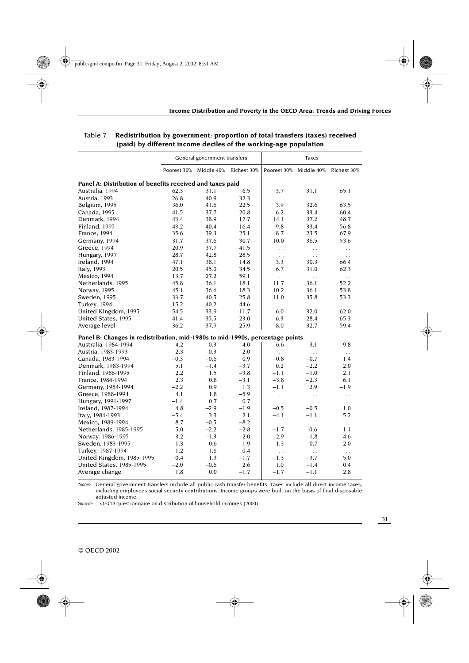|                                                                               |        | General government transfers       |        | Taxes                  |                                    |                      |  |
|-------------------------------------------------------------------------------|--------|------------------------------------|--------|------------------------|------------------------------------|----------------------|--|
|                                                                               |        | Poorest 30% Middle 40% Richest 30% |        |                        | Poorest 30% Middle 40% Richest 30% |                      |  |
| Panel A: Distribution of benefits received and taxes paid                     |        |                                    |        |                        |                                    |                      |  |
| Australia, 1994                                                               | 62.3   | 31.1                               | 6.5    | 3.7                    | 31.1                               | 65.1                 |  |
| Austria, 1993                                                                 | 26.8   | 40.9                               | 32.3   | $\ddots$               | $\ddot{\phantom{a}}$               | $\ddot{\phantom{0}}$ |  |
| Belgium, 1995                                                                 | 36.0   | 41.6                               | 22.5   | 3.9                    | 32.6                               | 63.5                 |  |
| Canada, 1995                                                                  | 41.5   | 37.7                               | 20.8   | 6.2                    | 33.4                               | 60.4                 |  |
| Denmark, 1994                                                                 | 43.4   | 38.9                               | 17.7   | 14.1                   | 37.2                               | 48.7                 |  |
| Finland, 1995                                                                 | 43.2   | 40.4                               | 16.4   | 9.8                    | 33.4                               | 56.8                 |  |
| France, 1994                                                                  | 35.6   | 39.3                               | 25.1   | 8.7                    | 23.5                               | 67.9                 |  |
| Germany, 1994                                                                 | 31.7   | 37.6                               | 30.7   | 10.0                   | 36.5                               | 53.6                 |  |
| Greece, 1994                                                                  | 20.9   | 37.7                               | 41.5   | $\ddot{\phantom{0}}$   | $\ddot{\phantom{0}}$               | $\ddot{\phantom{0}}$ |  |
| Hungary, 1997                                                                 | 28.7   | 42.8                               | 28.5   | $\ddot{\phantom{0}}$   | $\ddot{\phantom{1}}$ .             | $\ddot{\phantom{0}}$ |  |
| Ireland, 1994                                                                 | 47.1   | 38.1                               | 14.8   | 3.3                    | 30.3                               | 66.4                 |  |
| Italy, 1993                                                                   | 20.5   | 45.0                               | 34.5   | 6.7                    | 31.0                               | 62.3                 |  |
| Mexico, 1994                                                                  | 13.7   | 27.2                               | 59.1   | $\sim$ .               | $\ddots$                           | $\ddot{\phantom{0}}$ |  |
| Netherlands, 1995                                                             | 45.8   | 36.1                               | 18.1   | 11.7                   | 36.1                               | 52.2                 |  |
| Norway, 1995                                                                  | 45.1   | 36.6                               | 18.3   | 10.2                   | 36.1                               | 53.8                 |  |
| Sweden, 1995                                                                  | 33.7   | 40.5                               | 25.8   | 11.0                   | 35.8                               | 53.3                 |  |
| <b>Turkey, 1994</b>                                                           | 15.2   | 40.2                               | 44.6   | $\ddot{\phantom{a}}$   | $\ddot{\phantom{a}}$               | $\ddot{\phantom{a}}$ |  |
| United Kingdom, 1995                                                          | 54.5   | 33.9                               | 11.7   | 6.0                    | 32.0                               | 62.0                 |  |
| United States, 1995                                                           | 41.4   | 35.5                               | 23.0   | 6.3                    | 28.4                               | 65.3                 |  |
| Average level                                                                 | 36.2   | 37.9                               | 25.9   | 8.0                    | 32.7                               | 59.4                 |  |
| Panel B: Changes in redistribution, mid-1980s to mid-1990s, percentage points |        |                                    |        |                        |                                    |                      |  |
| Australia, 1984-1994                                                          | 4.2    | $-0.3$                             | $-4.0$ | $-6.6$                 | $-3.1$                             | 9.8                  |  |
| Austria, 1983-1993                                                            | 2.3    | $-0.3$                             | $-2.0$ | $\ddot{\phantom{1}}$ . | $\ddot{\phantom{1}}$ .             | $\ddots$             |  |
| Canada, 1983-1994                                                             | $-0.3$ | $-0.6$                             | 0.9    | $-0.8$                 | $-0.7$                             | 1.4                  |  |
| Denmark, 1983-1994                                                            | 5.1    | $-1.4$                             | $-3.7$ | 0.2                    | $-2.2$                             | 2.0                  |  |
| Finland, 1986-1995                                                            | 2.2    | 1.5                                | $-3.8$ | $-1.1$                 | $-1.0$                             | 2.1                  |  |
| France, 1984-1994                                                             | 2.3    | 0.8                                | $-3.1$ | $-3.8$                 | $-2.3$                             | 6.1                  |  |
| Germany, 1984-1994                                                            | $-2.2$ | 0.9                                | 1.3    | $-1.1$                 | 2.9                                | $-1.9$               |  |
| Greece, 1988-1994                                                             | 4.1    | 1.8                                | $-5.9$ | $\ddot{\phantom{a}}$   | $\ddot{\phantom{0}}$               | $\ddot{\phantom{0}}$ |  |
| Hungary, 1991-1997                                                            | $-1.4$ | 0.7                                | 0.7    | $\ddots$               | $\ddot{\phantom{0}}$               | $\ddot{\phantom{0}}$ |  |
| Ireland, 1987-1994                                                            | 4.8    | $-2.9$                             | $-1.9$ | $-0.5$                 | $-0.5$                             | 1.0                  |  |
| Italy, 1984-1993                                                              | $-5.4$ | 3.3                                | 2.1    | $-4.1$                 | $-1.1$                             | 5.2                  |  |
| Mexico, 1989-1994                                                             | 8.7    | $-0.5$                             | $-8.2$ | $\ddots$               | $\ddot{\phantom{0}}$               | $\ddots$             |  |
| Netherlands, 1985-1995                                                        | 5.0    | $-2.2$                             | $-2.8$ | $-1.7$                 | 0.6                                | 1.1                  |  |
| Norway, 1986-1995                                                             | 3.2    | $-1.3$                             | $-2.0$ | $-2.9$                 | $-1.8$                             | 4.6                  |  |
| Sweden, 1983-1995                                                             | 1.3    | 0.6                                | $-1.9$ | $-1.3$                 | $-0.7$                             | 2.0                  |  |
| Turkey, 1987-1994                                                             | 1.2    | $-1.6$                             | 0.4    | $\ddots$               | $\ddot{\phantom{a}}$               | $\ddot{\phantom{0}}$ |  |
| United Kingdom, 1985-1995                                                     | 0.4    | 1.3                                | $-1.7$ | $-1.3$                 | $-3.7$                             | 5.0                  |  |
| <b>United States, 1985-1995</b>                                               | $-2.0$ | $-0.6$                             | 2.6    | 1.0                    | $-1.4$                             | 0.4                  |  |
| Average change                                                                | 1.8    | 0.0                                | $-1.7$ | $-1.7$                 | $-1.1$                             | 2.8                  |  |

### Table 7. **Redistribution by government: proportion of total transfers (taxes) received (paid) by different income deciles of the working-age population**

*Notes:* General government transfers include all public cash transfer benefits. Taxes include all direct income taxes, including employees social security contributions. Income groups were built on the basis of final disposable adjusted income.

*Source:* OECD questionnaire on distribution of household incomes (2000).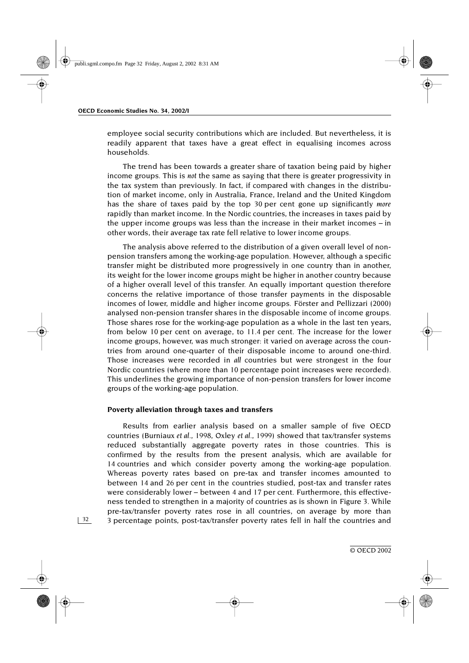employee social security contributions which are included. But nevertheless, it is readily apparent that taxes have a great effect in equalising incomes across households.

The trend has been towards a greater share of taxation being paid by higher income groups. This is *not* the same as saying that there is greater progressivity in the tax system than previously. In fact, if compared with changes in the distribution of market income, only in Australia, France, Ireland and the United Kingdom has the share of taxes paid by the top 30 per cent gone up significantly *more* rapidly than market income. In the Nordic countries, the increases in taxes paid by the upper income groups was less than the increase in their market incomes – in other words, their average tax rate fell relative to lower income groups.

The analysis above referred to the distribution of a given overall level of nonpension transfers among the working-age population. However, although a specific transfer might be distributed more progressively in one country than in another, its weight for the lower income groups might be higher in another country because of a higher overall level of this transfer. An equally important question therefore concerns the relative importance of those transfer payments in the disposable incomes of lower, middle and higher income groups. Förster and Pellizzari (2000) analysed non-pension transfer shares in the disposable income of income groups. Those shares rose for the working-age population as a whole in the last ten years, from below 10 per cent on average, to 11.4 per cent. The increase for the lower income groups, however, was much stronger: it varied on average across the countries from around one-quarter of their disposable income to around one-third. Those increases were recorded in *all* countries but were strongest in the four Nordic countries (where more than 10 percentage point increases were recorded). This underlines the growing importance of non-pension transfers for lower income groups of the working-age population.

#### **Poverty alleviation through taxes and transfers**

32

Results from earlier analysis based on a smaller sample of five OECD countries (Burniaux *et al.*, 1998, Oxley *et al.*, 1999) showed that tax/transfer systems reduced substantially aggregate poverty rates in those countries. This is confirmed by the results from the present analysis, which are available for 14 countries and which consider poverty among the working-age population. Whereas poverty rates based on pre-tax and transfer incomes amounted to between 14 and 26 per cent in the countries studied, post-tax and transfer rates were considerably lower – between 4 and 17 per cent. Furthermore, this effectiveness tended to strengthen in a majority of countries as is shown in Figure 3. While pre-tax/transfer poverty rates rose in all countries, on average by more than 3 percentage points, post-tax/transfer poverty rates fell in half the countries and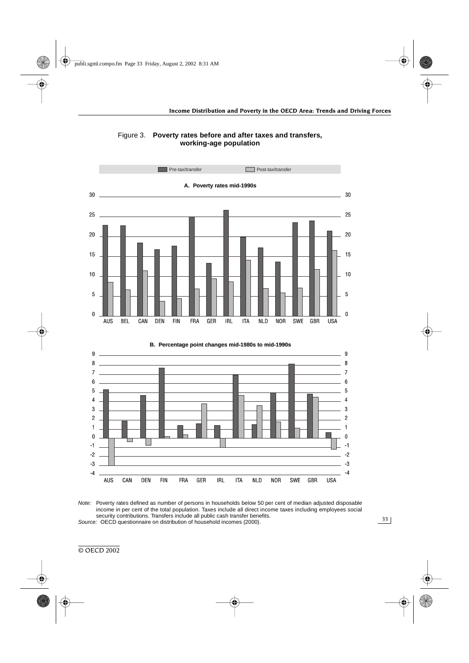

## Figure 3. **Poverty rates before and after taxes and transfers, working-age population**

Note: Poverty rates defined as number of persons in households below 50 per cent of median adjusted disposable income in per cent of the total population. Taxes include all direct income taxes including employees social security contributions. Transfers include all public cash transfer benefits.

Source: OECD questionnaire on distribution of household incomes (2000).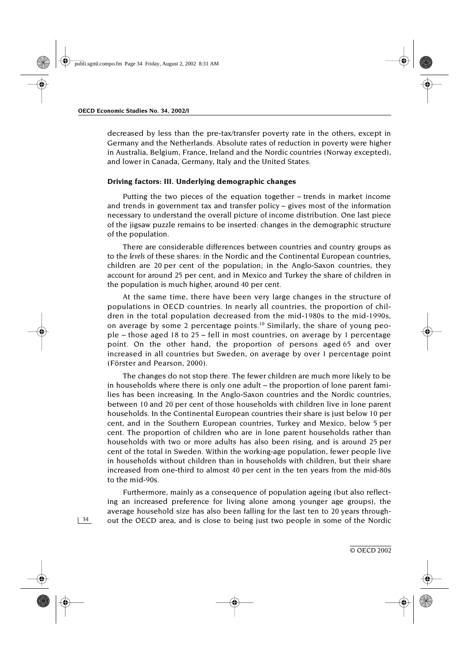decreased by less than the pre-tax/transfer poverty rate in the others, except in Germany and the Netherlands. Absolute rates of reduction in poverty were higher in Australia, Belgium, France, Ireland and the Nordic countries (Norway excepted), and lower in Canada, Germany, Italy and the United States.

#### **Driving factors: III. Underlying demographic changes**

Putting the two pieces of the equation together – trends in market income and trends in government tax and transfer policy – gives most of the information necessary to understand the overall picture of income distribution. One last piece of the jigsaw puzzle remains to be inserted: changes in the demographic structure of the population.

There are considerable differences between countries and country groups as to the *levels* of these shares: in the Nordic and the Continental European countries, children are 20 per cent of the population; in the Anglo-Saxon countries, they account for around 25 per cent, and in Mexico and Turkey the share of children in the population is much higher, around 40 per cent.

At the same time, there have been very large changes in the structure of populations in OECD countries. In nearly all countries, the proportion of children in the total population decreased from the mid-1980s to the mid-1990s, on average by some 2 percentage points.<sup>10</sup> Similarly, the share of young people – those aged 18 to 25 – fell in most countries, on average by 1 percentage point. On the other hand, the proportion of persons aged 65 and over increased in all countries but Sweden, on average by over 1 percentage point (Förster and Pearson, 2000).

The changes do not stop there. The fewer children are much more likely to be in households where there is only one adult – the proportion of lone parent families has been increasing. In the Anglo-Saxon countries and the Nordic countries, between 10 and 20 per cent of those households with children live in lone parent households. In the Continental European countries their share is just below 10 per cent, and in the Southern European countries, Turkey and Mexico, below 5 per cent. The proportion of children who are in lone parent households rather than households with two or more adults has also been rising, and is around 25 per cent of the total in Sweden. Within the working-age population, fewer people live in households without children than in households with children, but their share increased from one-third to almost 40 per cent in the ten years from the mid-80s to the mid-90s.

Furthermore, mainly as a consequence of population ageing (but also reflecting an increased preference for living alone among younger age groups), the average household size has also been falling for the last ten to 20 years throughout the OECD area, and is close to being just two people in some of the Nordic

© OECD 2002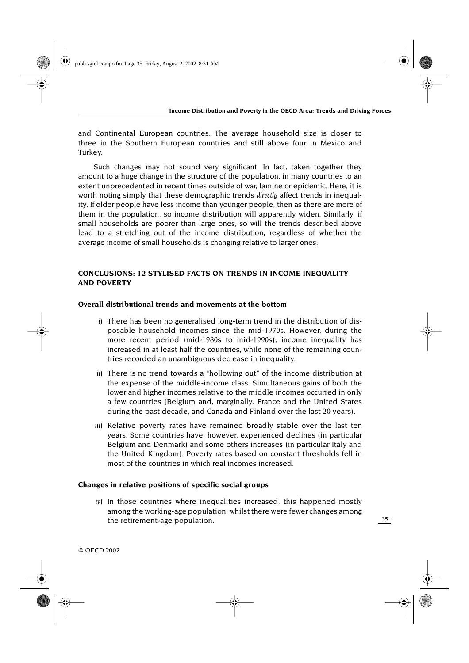and Continental European countries. The average household size is closer to three in the Southern European countries and still above four in Mexico and Turkey.

Such changes may not sound very significant. In fact, taken together they amount to a huge change in the structure of the population, in many countries to an extent unprecedented in recent times outside of war, famine or epidemic. Here, it is worth noting simply that these demographic trends *directly* affect trends in inequality. If older people have less income than younger people, then as there are more of them in the population, so income distribution will apparently widen. Similarly, if small households are poorer than large ones, so will the trends described above lead to a stretching out of the income distribution, regardless of whether the average income of small households is changing relative to larger ones.

# **CONCLUSIONS: 12 STYLISED FACTS ON TRENDS IN INCOME INEQUALITY AND POVERTY**

## **Overall distributional trends and movements at the bottom**

- *i)* There has been no generalised long-term trend in the distribution of disposable household incomes since the mid-1970s. However, during the more recent period (mid-1980s to mid-1990s), income inequality has increased in at least half the countries, while none of the remaining countries recorded an unambiguous decrease in inequality.
- *ii)* There is no trend towards a "hollowing out" of the income distribution at the expense of the middle-income class. Simultaneous gains of both the lower and higher incomes relative to the middle incomes occurred in only a few countries (Belgium and, marginally, France and the United States during the past decade, and Canada and Finland over the last 20 years).
- *iii)* Relative poverty rates have remained broadly stable over the last ten years. Some countries have, however, experienced declines (in particular Belgium and Denmark) and some others increases (in particular Italy and the United Kingdom). Poverty rates based on constant thresholds fell in most of the countries in which real incomes increased.

#### **Changes in relative positions of specific social groups**

*iv)* In those countries where inequalities increased, this happened mostly among the working-age population, whilst there were fewer changes among the retirement-age population.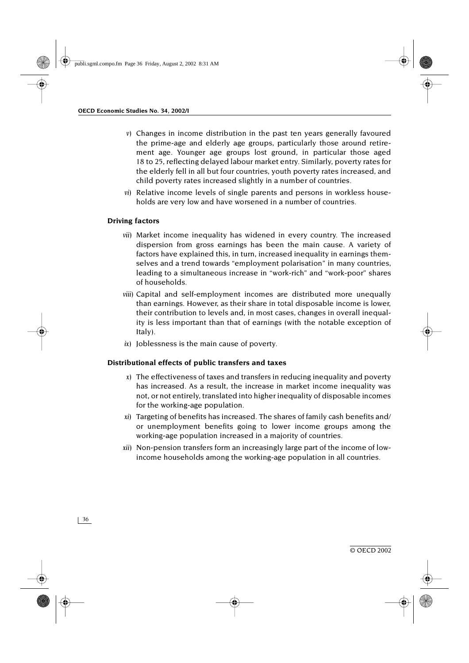- *v)* Changes in income distribution in the past ten years generally favoured the prime-age and elderly age groups, particularly those around retirement age. Younger age groups lost ground, in particular those aged 18 to 25, reflecting delayed labour market entry. Similarly, poverty rates for the elderly fell in all but four countries, youth poverty rates increased, and child poverty rates increased slightly in a number of countries.
- *vi)* Relative income levels of single parents and persons in workless households are very low and have worsened in a number of countries.

## **Driving factors**

- *vii)* Market income inequality has widened in every country. The increased dispersion from gross earnings has been the main cause. A variety of factors have explained this, in turn, increased inequality in earnings themselves and a trend towards "employment polarisation" in many countries, leading to a simultaneous increase in "work-rich" and "work-poor" shares of households.
- *viii)* Capital and self-employment incomes are distributed more unequally than earnings. However, as their share in total disposable income is lower, their contribution to levels and, in most cases, changes in overall inequality is less important than that of earnings (with the notable exception of Italy).
- *ix)* Joblessness is the main cause of poverty.

#### **Distributional effects of public transfers and taxes**

- *x)* The effectiveness of taxes and transfers in reducing inequality and poverty has increased. As a result, the increase in market income inequality was not, or not entirely, translated into higher inequality of disposable incomes for the working-age population.
- *xi)* Targeting of benefits has increased. The shares of family cash benefits and/ or unemployment benefits going to lower income groups among the working-age population increased in a majority of countries.
- *xii)* Non-pension transfers form an increasingly large part of the income of lowincome households among the working-age population in all countries.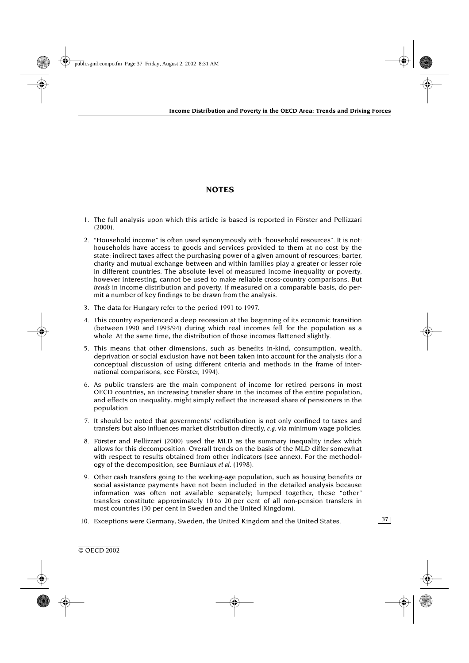## **NOTES**

- 1. The full analysis upon which this article is based is reported in Förster and Pellizzari (2000).
- 2. "Household income" is often used synonymously with "household resources". It is not: households have access to goods and services provided to them at no cost by the state; indirect taxes affect the purchasing power of a given amount of resources; barter, charity and mutual exchange between and within families play a greater or lesser role in different countries. The absolute level of measured income inequality or poverty, however interesting, cannot be used to make reliable cross-country comparisons. But *trends* in income distribution and poverty, if measured on a comparable basis, do permit a number of key findings to be drawn from the analysis.
- 3. The data for Hungary refer to the period 1991 to 1997.
- 4. This country experienced a deep recession at the beginning of its economic transition (between 1990 and 1993/94) during which real incomes fell for the population as a whole. At the same time, the distribution of those incomes flattened slightly.
- 5. This means that other dimensions, such as benefits in-kind, consumption, wealth, deprivation or social exclusion have not been taken into account for the analysis (for a conceptual discussion of using different criteria and methods in the frame of international comparisons, see Förster, 1994).
- 6. As public transfers are the main component of income for retired persons in most OECD countries, an increasing transfer share in the incomes of the entire population, and effects on inequality, might simply reflect the increased share of pensioners in the population.
- 7. It should be noted that governments' redistribution is not only confined to taxes and transfers but also influences market distribution directly, *e.g.* via minimum wage policies.
- 8. Förster and Pellizzari (2000) used the MLD as the summary inequality index which allows for this decomposition. Overall trends on the basis of the MLD differ somewhat with respect to results obtained from other indicators (see annex). For the methodology of the decomposition, see Burniaux *et al.* (1998).
- 9. Other cash transfers going to the working-age population, such as housing benefits or social assistance payments have not been included in the detailed analysis because information was often not available separately; lumped together, these "other" transfers constitute approximately 10 to 20 per cent of all non-pension transfers in most countries (30 per cent in Sweden and the United Kingdom).
- 10. Exceptions were Germany, Sweden, the United Kingdom and the United States.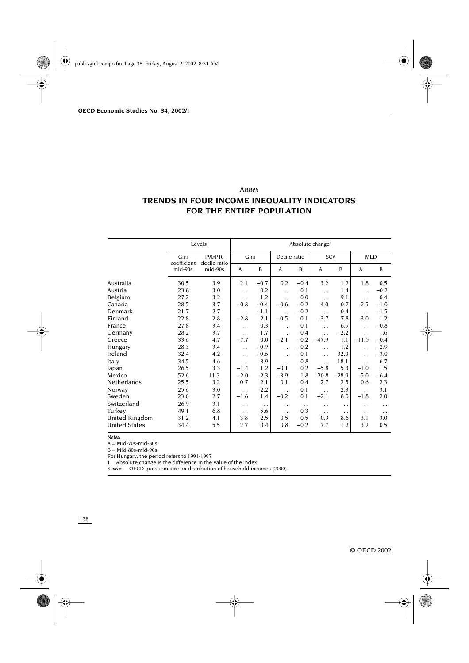#### *Annex*

# **TRENDS IN FOUR INCOME INEQUALITY INDICATORS FOR THE ENTIRE POPULATION**

|                      | Levels              | Absolute change <sup>1</sup> |                      |                      |                      |              |                      |                      |                      |                      |
|----------------------|---------------------|------------------------------|----------------------|----------------------|----------------------|--------------|----------------------|----------------------|----------------------|----------------------|
|                      | Gini<br>coefficient | P90/P10<br>decile ratio      | Gini                 |                      |                      | Decile ratio |                      | SCV                  |                      | <b>MLD</b>           |
|                      | $mid-90s$           | $mid-90s$                    | A                    | B                    | A                    | B            | A                    | B                    | A                    | B                    |
| Australia            | 30.5                | 3.9                          | 2.1                  | $-0.7$               | 0.2                  | $-0.4$       | 3.2                  | 1.2                  | 1.8                  | 0.5                  |
| Austria              | 23.8                | 3.0                          | $\ddot{\phantom{0}}$ | 0.2                  | $\ddot{\phantom{0}}$ | 0.1          | $\ddot{\phantom{0}}$ | 1.4                  | $\ddot{\phantom{a}}$ | $-0.2$               |
| Belgium              | 27.2                | 3.2                          | $\ddot{\phantom{0}}$ | 1.2                  | $\ddot{\phantom{0}}$ | 0.0          | $\ddot{\phantom{0}}$ | 9.1                  | $\ddot{\phantom{0}}$ | 0.4                  |
| Canada               | 28.5                | 3.7                          | $-0.8$               | $-0.4$               | $-0.6$               | $-0.2$       | 4.0                  | 0.7                  | $-2.5$               | $-1.0$               |
| Denmark              | 21.7                | 2.7                          | $\ddot{\phantom{0}}$ | $-1.1$               | . .                  | $-0.2$       | $\ddot{\phantom{a}}$ | 0.4                  | $\ddot{\phantom{0}}$ | $-1.5$               |
| Finland              | 22.8                | 2.8                          | $-2.8$               | 2.1                  | $-0.5$               | 0.1          | $-3.7$               | 7.8                  | $-3.0$               | 1.2                  |
| France               | 27.8                | 3.4                          | $\ddot{\phantom{0}}$ | 0.3                  | $\ddot{\phantom{0}}$ | 0.1          | $\ddot{\phantom{a}}$ | 6.9                  | $\ddot{\phantom{0}}$ | $-0.8$               |
| Germany              | 28.2                | 3.7                          | $\ddot{\phantom{0}}$ | 1.7                  | $\ddot{\phantom{0}}$ | 0.4          | $\ddot{\phantom{0}}$ | $-2.2$               | $\ddot{\phantom{0}}$ | 1.6                  |
| Greece               | 33.6                | 4.7                          | $-7.7$               | 0.0                  | $-2.1$               | $-0.2$       | $-47.9$              | 1.1                  | $-11.5$              | $-0.4$               |
| Hungary              | 28.3                | 3.4                          | $\ddot{\phantom{0}}$ | $-0.9$               | $\ddot{\phantom{0}}$ | $-0.2$       | $\ddot{\phantom{0}}$ | 1.2                  | $\ddot{\phantom{0}}$ | $-2.9$               |
| Ireland              | 32.4                | 4.2                          | $\ddot{\phantom{0}}$ | $-0.6$               | $\ddot{\phantom{a}}$ | $-0.1$       | $\ddot{\phantom{0}}$ | 32.0                 | $\ddot{\phantom{0}}$ | $-3.0$               |
| Italy                | 34.5                | 4.6                          | $\ddot{\phantom{0}}$ | 3.9                  | $\ddot{\phantom{0}}$ | 0.8          | $\ddot{\phantom{0}}$ | 18.1                 | $\ddot{\phantom{0}}$ | 6.7                  |
| Japan                | 26.5                | 3.3                          | $-1.4$               | 1.2                  | $-0.1$               | 0.2          | $-5.8$               | 5.3                  | $-1.0$               | 1.5                  |
| Mexico               | 52.6                | 11.3                         | $-2.0$               | 2.3                  | $-3.9$               | 1.8          | 20.8                 | $-28.9$              | $-5.0$               | $-6.4$               |
| Netherlands          | 25.5                | 3.2                          | 0.7                  | 2.1                  | 0.1                  | 0.4          | 2.7                  | 2.5                  | 0.6                  | 2.3                  |
| Norway               | 25.6                | 3.0                          | $\ddot{\phantom{0}}$ | 2.2                  | . .                  | 0.1          | $\ddot{\phantom{0}}$ | 2.3                  | $\ddot{\phantom{0}}$ | 3.1                  |
| Sweden               | 23.0                | 2.7                          | $-1.6$               | 1.4                  | $-0.2$               | 0.1          | $-2.1$               | 8.0                  | $-1.8$               | 2.0                  |
| Switzerland          | 26.9                | 3.1                          | . .                  | $\ddot{\phantom{0}}$ | . .                  | $\ddots$     | $\ddot{\phantom{0}}$ | $\ddot{\phantom{0}}$ | . .                  | $\ddot{\phantom{0}}$ |
| Turkey               | 49.1                | 6.8                          | $\ddots$             | 5.6                  | $\ddot{\phantom{0}}$ | 0.3          | $\ddots$             | $\ddot{\phantom{0}}$ | $\ddots$             | $\ddot{\phantom{0}}$ |
| United Kingdom       | 31.2                | 4.1                          | 3.8                  | 2.5                  | 0.5                  | 0.5          | 10.3                 | 8.6                  | 3.1                  | 3.0                  |
| <b>United States</b> | 34.4                | 5.5                          | 2.7                  | 0.4                  | 0.8                  | $-0.2$       | 7.7                  | 1.2                  | 3.2                  | 0.5                  |

*Notes:*

 $A = Mid-70s$ -mid-80s.

B = Mid-80s-mid-90s.

For Hungary, the period refers to 1991-1997.

1. Absolute change is the difference in the value of the index.

*Source:* OECD questionnaire on distribution of household incomes (2000).